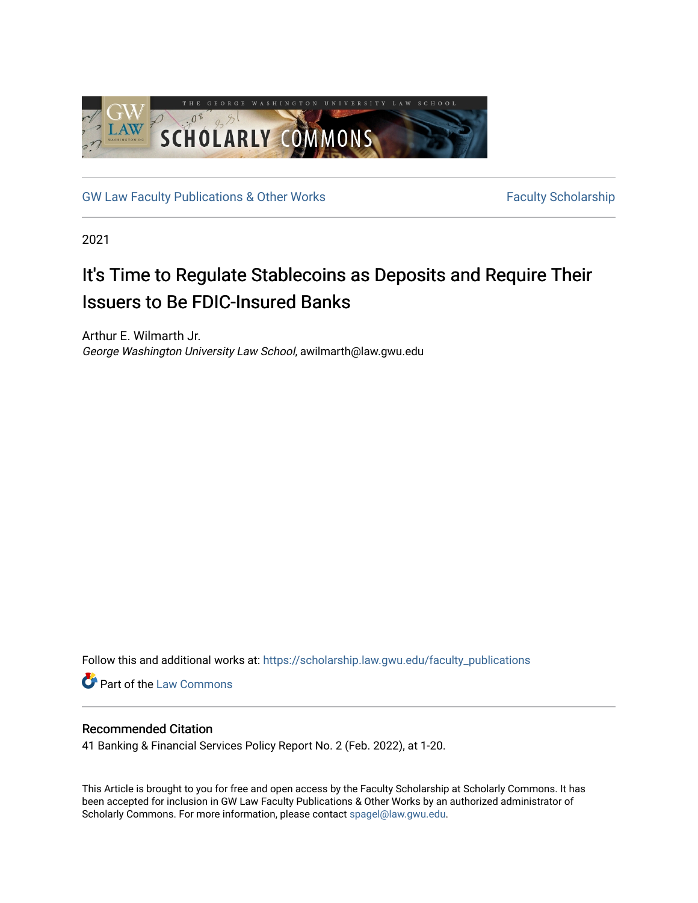

[GW Law Faculty Publications & Other Works](https://scholarship.law.gwu.edu/faculty_publications) Faculty Scholarship

2021

## It's Time to Regulate Stablecoins as Deposits and Require Their Issuers to Be FDIC-Insured Banks

Arthur E. Wilmarth Jr. George Washington University Law School, awilmarth@law.gwu.edu

Follow this and additional works at: [https://scholarship.law.gwu.edu/faculty\\_publications](https://scholarship.law.gwu.edu/faculty_publications?utm_source=scholarship.law.gwu.edu%2Ffaculty_publications%2F1576&utm_medium=PDF&utm_campaign=PDFCoverPages) 

**Part of the [Law Commons](http://network.bepress.com/hgg/discipline/578?utm_source=scholarship.law.gwu.edu%2Ffaculty_publications%2F1576&utm_medium=PDF&utm_campaign=PDFCoverPages)** 

### Recommended Citation

41 Banking & Financial Services Policy Report No. 2 (Feb. 2022), at 1-20.

This Article is brought to you for free and open access by the Faculty Scholarship at Scholarly Commons. It has been accepted for inclusion in GW Law Faculty Publications & Other Works by an authorized administrator of Scholarly Commons. For more information, please contact [spagel@law.gwu.edu](mailto:spagel@law.gwu.edu).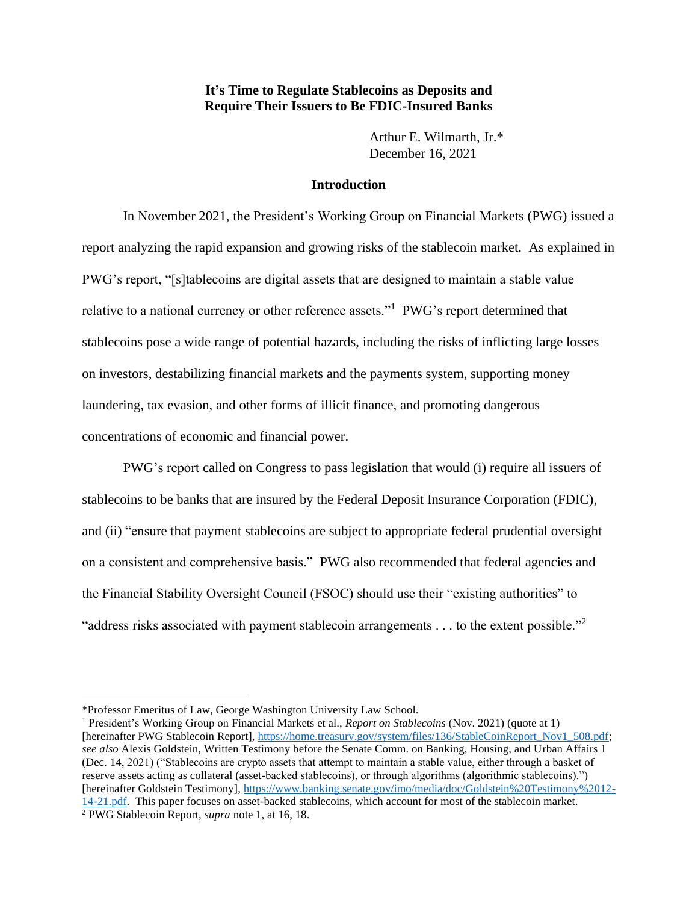### **It's Time to Regulate Stablecoins as Deposits and Require Their Issuers to Be FDIC-Insured Banks**

Arthur E. Wilmarth, Jr.\* December 16, 2021

#### **Introduction**

In November 2021, the President's Working Group on Financial Markets (PWG) issued a report analyzing the rapid expansion and growing risks of the stablecoin market. As explained in PWG's report, "[s]tablecoins are digital assets that are designed to maintain a stable value relative to a national currency or other reference assets."<sup>1</sup> PWG's report determined that stablecoins pose a wide range of potential hazards, including the risks of inflicting large losses on investors, destabilizing financial markets and the payments system, supporting money laundering, tax evasion, and other forms of illicit finance, and promoting dangerous concentrations of economic and financial power.

PWG's report called on Congress to pass legislation that would (i) require all issuers of stablecoins to be banks that are insured by the Federal Deposit Insurance Corporation (FDIC), and (ii) "ensure that payment stablecoins are subject to appropriate federal prudential oversight on a consistent and comprehensive basis." PWG also recommended that federal agencies and the Financial Stability Oversight Council (FSOC) should use their "existing authorities" to "address risks associated with payment stablecoin arrangements . . . to the extent possible."<sup>2</sup>

<sup>\*</sup>Professor Emeritus of Law, George Washington University Law School.

<sup>&</sup>lt;sup>1</sup> President's Working Group on Financial Markets et al., *Report on Stablecoins* (Nov. 2021) (quote at 1) [hereinafter PWG Stablecoin Report], [https://home.treasury.gov/system/files/136/StableCoinReport\\_Nov1\\_508.pdf;](https://home.treasury.gov/system/files/136/StableCoinReport_Nov1_508.pdf) *see also* Alexis Goldstein, Written Testimony before the Senate Comm. on Banking, Housing, and Urban Affairs 1 (Dec. 14, 2021) ("Stablecoins are crypto assets that attempt to maintain a stable value, either through a basket of reserve assets acting as collateral (asset-backed stablecoins), or through algorithms (algorithmic stablecoins).") [hereinafter Goldstein Testimony][, https://www.banking.senate.gov/imo/media/doc/Goldstein%20Testimony%2012-](https://www.banking.senate.gov/imo/media/doc/Goldstein%20Testimony%2012-14-21.pdf) [14-21.pdf.](https://www.banking.senate.gov/imo/media/doc/Goldstein%20Testimony%2012-14-21.pdf) This paper focuses on asset-backed stablecoins, which account for most of the stablecoin market. <sup>2</sup> PWG Stablecoin Report, *supra* note 1, at 16, 18.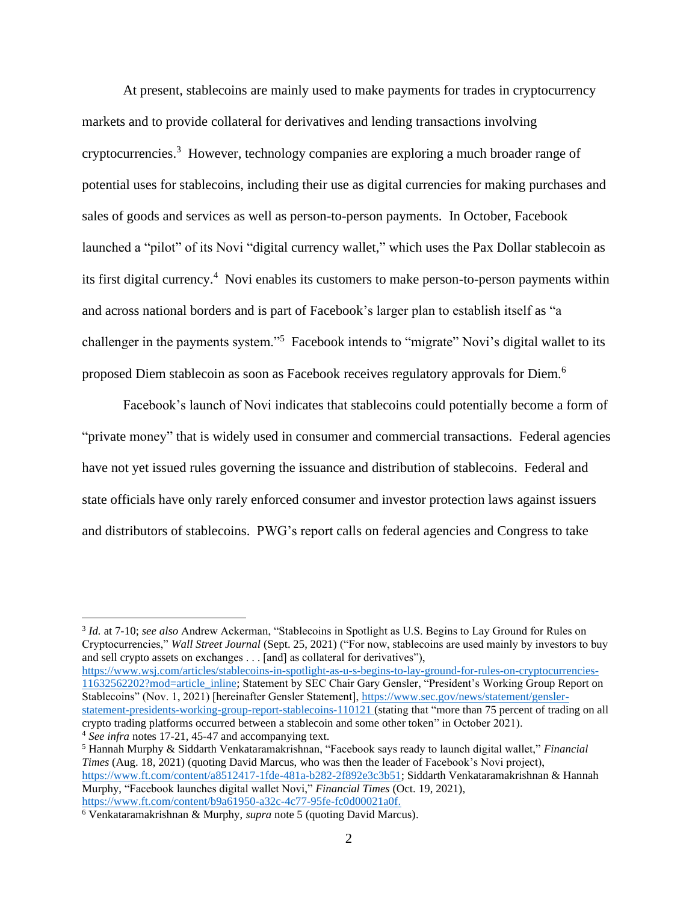At present, stablecoins are mainly used to make payments for trades in cryptocurrency markets and to provide collateral for derivatives and lending transactions involving cryptocurrencies.<sup>3</sup> However, technology companies are exploring a much broader range of potential uses for stablecoins, including their use as digital currencies for making purchases and sales of goods and services as well as person-to-person payments. In October, Facebook launched a "pilot" of its Novi "digital currency wallet," which uses the Pax Dollar stablecoin as its first digital currency. <sup>4</sup> Novi enables its customers to make person-to-person payments within and across national borders and is part of Facebook's larger plan to establish itself as "a challenger in the payments system."<sup>5</sup> Facebook intends to "migrate" Novi's digital wallet to its proposed Diem stablecoin as soon as Facebook receives regulatory approvals for Diem. 6

Facebook's launch of Novi indicates that stablecoins could potentially become a form of "private money" that is widely used in consumer and commercial transactions. Federal agencies have not yet issued rules governing the issuance and distribution of stablecoins. Federal and state officials have only rarely enforced consumer and investor protection laws against issuers and distributors of stablecoins. PWG's report calls on federal agencies and Congress to take

[https://www.wsj.com/articles/stablecoins-in-spotlight-as-u-s-begins-to-lay-ground-for-rules-on-cryptocurrencies-](https://www.wsj.com/articles/stablecoins-in-spotlight-as-u-s-begins-to-lay-ground-for-rules-on-cryptocurrencies-11632562202?mod=article_inline)[11632562202?mod=article\\_inline;](https://www.wsj.com/articles/stablecoins-in-spotlight-as-u-s-begins-to-lay-ground-for-rules-on-cryptocurrencies-11632562202?mod=article_inline) Statement by SEC Chair Gary Gensler, "President's Working Group Report on Stablecoins" (Nov. 1, 2021) [hereinafter Gensler Statement], [https://www.sec.gov/news/statement/gensler](https://www.sec.gov/news/statement/gensler-statement-presidents-working-group-report-stablecoins-110121)[statement-presidents-working-group-report-stablecoins-110121](https://www.sec.gov/news/statement/gensler-statement-presidents-working-group-report-stablecoins-110121) (stating that "more than 75 percent of trading on all crypto trading platforms occurred between a stablecoin and some other token" in October 2021).

<sup>&</sup>lt;sup>3</sup> Id. at 7-10; see also Andrew Ackerman, "Stablecoins in Spotlight as U.S. Begins to Lay Ground for Rules on Cryptocurrencies," *Wall Street Journal* (Sept. 25, 2021) ("For now, stablecoins are used mainly by investors to buy and sell crypto assets on exchanges . . . [and] as collateral for derivatives"),

<sup>&</sup>lt;sup>4</sup> See infra notes 17-21, 45-47 and accompanying text.

<sup>5</sup> Hannah Murphy & Siddarth Venkataramakrishnan, "Facebook says ready to launch digital wallet," *Financial Times* (Aug. 18, 2021) (quoting David Marcus, who was then the leader of Facebook's Novi project), [https://www.ft.com/content/a8512417-1fde-481a-b282-2f892e3c3b51;](https://www.ft.com/content/a8512417-1fde-481a-b282-2f892e3c3b51) Siddarth Venkataramakrishnan & Hannah Murphy, "Facebook launches digital wallet Novi," *Financial Times* (Oct. 19, 2021), [https://www.ft.com/content/b9a61950-a32c-4c77-95fe-fc0d00021a0f.](https://www.ft.com/content/b9a61950-a32c-4c77-95fe-fc0d00021a0f)

<sup>6</sup> Venkataramakrishnan & Murphy, *supra* note 5 (quoting David Marcus).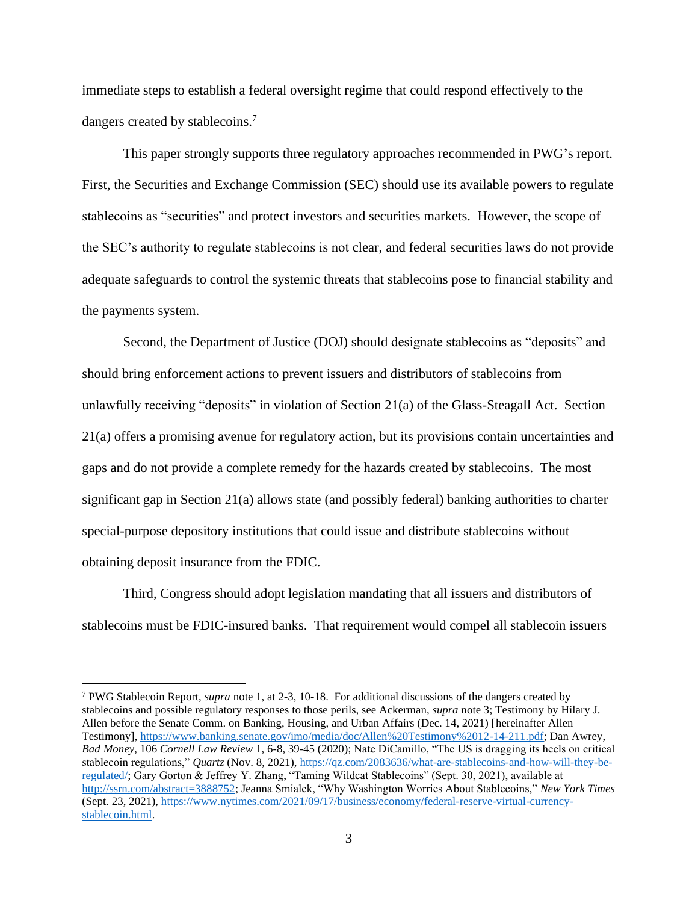immediate steps to establish a federal oversight regime that could respond effectively to the dangers created by stablecoins.<sup>7</sup>

This paper strongly supports three regulatory approaches recommended in PWG's report. First, the Securities and Exchange Commission (SEC) should use its available powers to regulate stablecoins as "securities" and protect investors and securities markets. However, the scope of the SEC's authority to regulate stablecoins is not clear, and federal securities laws do not provide adequate safeguards to control the systemic threats that stablecoins pose to financial stability and the payments system.

Second, the Department of Justice (DOJ) should designate stablecoins as "deposits" and should bring enforcement actions to prevent issuers and distributors of stablecoins from unlawfully receiving "deposits" in violation of Section 21(a) of the Glass-Steagall Act. Section 21(a) offers a promising avenue for regulatory action, but its provisions contain uncertainties and gaps and do not provide a complete remedy for the hazards created by stablecoins. The most significant gap in Section 21(a) allows state (and possibly federal) banking authorities to charter special-purpose depository institutions that could issue and distribute stablecoins without obtaining deposit insurance from the FDIC.

Third, Congress should adopt legislation mandating that all issuers and distributors of stablecoins must be FDIC-insured banks. That requirement would compel all stablecoin issuers

<sup>7</sup> PWG Stablecoin Report, *supra* note 1, at 2-3, 10-18. For additional discussions of the dangers created by stablecoins and possible regulatory responses to those perils, see Ackerman, *supra* note 3; Testimony by Hilary J. Allen before the Senate Comm. on Banking, Housing, and Urban Affairs (Dec. 14, 2021) [hereinafter Allen Testimony], [https://www.banking.senate.gov/imo/media/doc/Allen%20Testimony%2012-14-211.pdf;](https://www.banking.senate.gov/imo/media/doc/Allen%20Testimony%2012-14-211.pdf) Dan Awrey, *Bad Money*, 106 *Cornell Law Review* 1, 6-8, 39-45 (2020); Nate DiCamillo, "The US is dragging its heels on critical stablecoin regulations," *Quartz* (Nov. 8, 2021), [https://qz.com/2083636/what-are-stablecoins-and-how-will-they-be](https://qz.com/2083636/what-are-stablecoins-and-how-will-they-be-regulated/)[regulated/;](https://qz.com/2083636/what-are-stablecoins-and-how-will-they-be-regulated/) Gary Gorton & Jeffrey Y. Zhang, "Taming Wildcat Stablecoins" (Sept. 30, 2021), available at [http://ssrn.com/abstract=3888752;](http://ssrn.com/abstract=3888752) Jeanna Smialek, "Why Washington Worries About Stablecoins," *New York Times* (Sept. 23, 2021), [https://www.nytimes.com/2021/09/17/business/economy/federal-reserve-virtual-currency](https://www.nytimes.com/2021/09/17/business/economy/federal-reserve-virtual-currency-stablecoin.html)[stablecoin.html.](https://www.nytimes.com/2021/09/17/business/economy/federal-reserve-virtual-currency-stablecoin.html)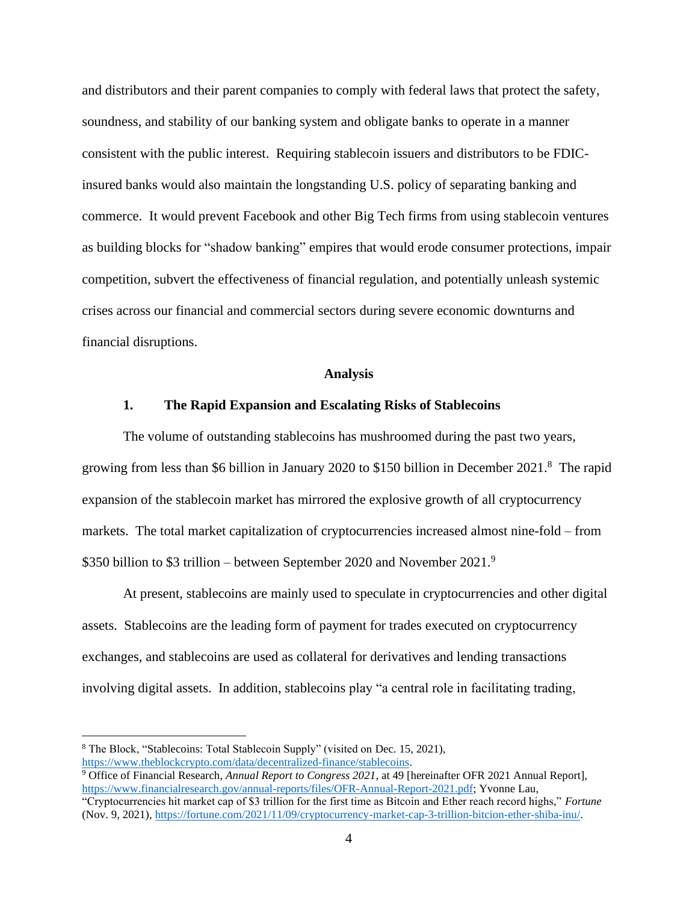and distributors and their parent companies to comply with federal laws that protect the safety, soundness, and stability of our banking system and obligate banks to operate in a manner consistent with the public interest. Requiring stablecoin issuers and distributors to be FDICinsured banks would also maintain the longstanding U.S. policy of separating banking and commerce. It would prevent Facebook and other Big Tech firms from using stablecoin ventures as building blocks for "shadow banking" empires that would erode consumer protections, impair competition, subvert the effectiveness of financial regulation, and potentially unleash systemic crises across our financial and commercial sectors during severe economic downturns and financial disruptions.

#### **Analysis**

#### **1. The Rapid Expansion and Escalating Risks of Stablecoins**

The volume of outstanding stablecoins has mushroomed during the past two years, growing from less than \$6 billion in January 2020 to \$150 billion in December 2021.<sup>8</sup> The rapid expansion of the stablecoin market has mirrored the explosive growth of all cryptocurrency markets. The total market capitalization of cryptocurrencies increased almost nine-fold – from \$350 billion to \$3 trillion – between September 2020 and November 2021.<sup>9</sup>

At present, stablecoins are mainly used to speculate in cryptocurrencies and other digital assets. Stablecoins are the leading form of payment for trades executed on cryptocurrency exchanges, and stablecoins are used as collateral for derivatives and lending transactions involving digital assets. In addition, stablecoins play "a central role in facilitating trading,

<sup>9</sup> Office of Financial Research, *Annual Report to Congress 2021*, at 49 [hereinafter OFR 2021 Annual Report], [https://www.financialresearch.gov/annual-reports/files/OFR-Annual-Report-2021.pdf;](https://www.financialresearch.gov/annual-reports/files/OFR-Annual-Report-2021.pdf) Yvonne Lau,

<sup>8</sup> The Block, "Stablecoins: Total Stablecoin Supply" (visited on Dec. 15, 2021), [https://www.theblockcrypto.com/data/decentralized-finance/stablecoins.](https://www.theblockcrypto.com/data/decentralized-finance/stablecoins)

<sup>&</sup>quot;Cryptocurrencies hit market cap of \$3 trillion for the first time as Bitcoin and Ether reach record highs," *Fortune* (Nov. 9, 2021), [https://fortune.com/2021/11/09/cryptocurrency-market-cap-3-trillion-bitcion-ether-shiba-inu/.](https://fortune.com/2021/11/09/cryptocurrency-market-cap-3-trillion-bitcion-ether-shiba-inu/)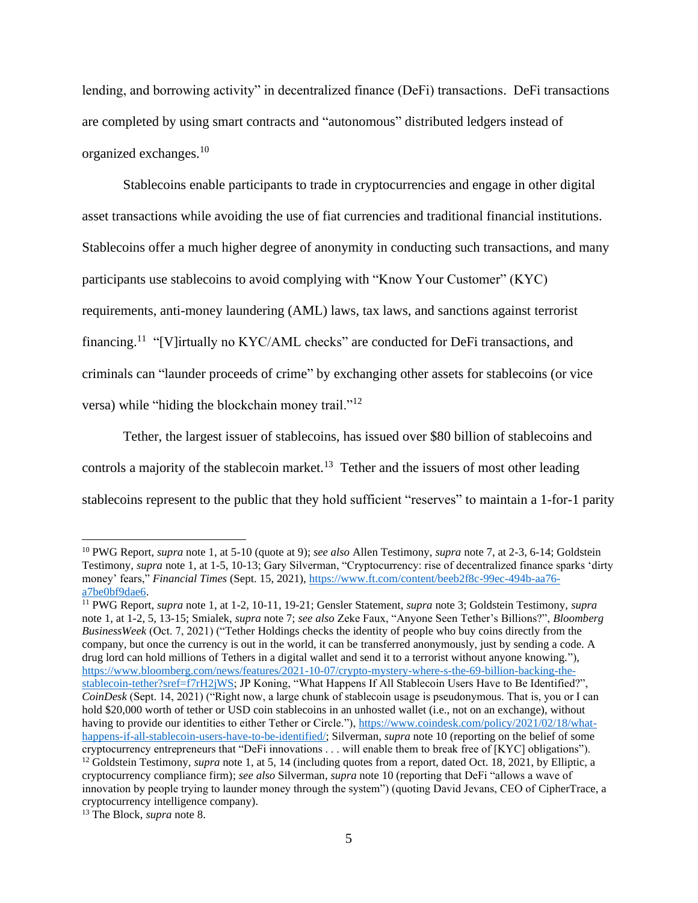lending, and borrowing activity" in decentralized finance (DeFi) transactions. DeFi transactions are completed by using smart contracts and "autonomous" distributed ledgers instead of organized exchanges. 10

Stablecoins enable participants to trade in cryptocurrencies and engage in other digital asset transactions while avoiding the use of fiat currencies and traditional financial institutions. Stablecoins offer a much higher degree of anonymity in conducting such transactions, and many participants use stablecoins to avoid complying with "Know Your Customer" (KYC) requirements, anti-money laundering (AML) laws, tax laws, and sanctions against terrorist financing.<sup>11</sup> "[V]irtually no KYC/AML checks" are conducted for DeFi transactions, and criminals can "launder proceeds of crime" by exchanging other assets for stablecoins (or vice versa) while "hiding the blockchain money trail."<sup>12</sup>

Tether, the largest issuer of stablecoins, has issued over \$80 billion of stablecoins and controls a majority of the stablecoin market.<sup>13</sup> Tether and the issuers of most other leading stablecoins represent to the public that they hold sufficient "reserves" to maintain a 1-for-1 parity

<sup>10</sup> PWG Report, *supra* note 1, at 5-10 (quote at 9); *see also* Allen Testimony, *supra* note 7, at 2-3, 6-14; Goldstein Testimony, *supra* note 1, at 1-5, 10-13; Gary Silverman, "Cryptocurrency: rise of decentralized finance sparks 'dirty money' fears," *Financial Times* (Sept. 15, 2021), [https://www.ft.com/content/beeb2f8c-99ec-494b-aa76](https://www.ft.com/content/beeb2f8c-99ec-494b-aa76-a7be0bf9dae6) [a7be0bf9dae6.](https://www.ft.com/content/beeb2f8c-99ec-494b-aa76-a7be0bf9dae6)

<sup>11</sup> PWG Report, *supra* note 1, at 1-2, 10-11, 19-21; Gensler Statement, *supra* note 3; Goldstein Testimony, *supra*  note 1, at 1-2, 5, 13-15; Smialek, *supra* note 7; *see also* Zeke Faux, "Anyone Seen Tether's Billions?", *Bloomberg BusinessWeek* (Oct. 7, 2021) ("Tether Holdings checks the identity of people who buy coins directly from the company, but once the currency is out in the world, it can be transferred anonymously, just by sending a code. A drug lord can hold millions of Tethers in a digital wallet and send it to a terrorist without anyone knowing."), [https://www.bloomberg.com/news/features/2021-10-07/crypto-mystery-where-s-the-69-billion-backing-the](https://www.bloomberg.com/news/features/2021-10-07/crypto-mystery-where-s-the-69-billion-backing-the-stablecoin-tether?sref=f7rH2jWS)[stablecoin-tether?sref=f7rH2jWS;](https://www.bloomberg.com/news/features/2021-10-07/crypto-mystery-where-s-the-69-billion-backing-the-stablecoin-tether?sref=f7rH2jWS) JP Koning, "What Happens If All Stablecoin Users Have to Be Identified?", *CoinDesk* (Sept. 14, 2021) ("Right now, a large chunk of stablecoin usage is pseudonymous. That is, you or I can hold \$20,000 worth of tether or USD coin stablecoins in an unhosted wallet (i.e., not on an exchange), without having to provide our identities to either Tether or Circle.")[, https://www.coindesk.com/policy/2021/02/18/what](https://www.coindesk.com/policy/2021/02/18/what-happens-if-all-stablecoin-users-have-to-be-identified/)[happens-if-all-stablecoin-users-have-to-be-identified/;](https://www.coindesk.com/policy/2021/02/18/what-happens-if-all-stablecoin-users-have-to-be-identified/) Silverman, *supra* note 10 (reporting on the belief of some cryptocurrency entrepreneurs that "DeFi innovations . . . will enable them to break free of [KYC] obligations"). <sup>12</sup> Goldstein Testimony, *supra* note 1, at 5, 14 (including quotes from a report, dated Oct. 18, 2021, by Elliptic, a cryptocurrency compliance firm); *see also* Silverman, *supra* note 10 (reporting that DeFi "allows a wave of innovation by people trying to launder money through the system") (quoting David Jevans, CEO of CipherTrace, a cryptocurrency intelligence company).

<sup>13</sup> The Block, *supra* note 8.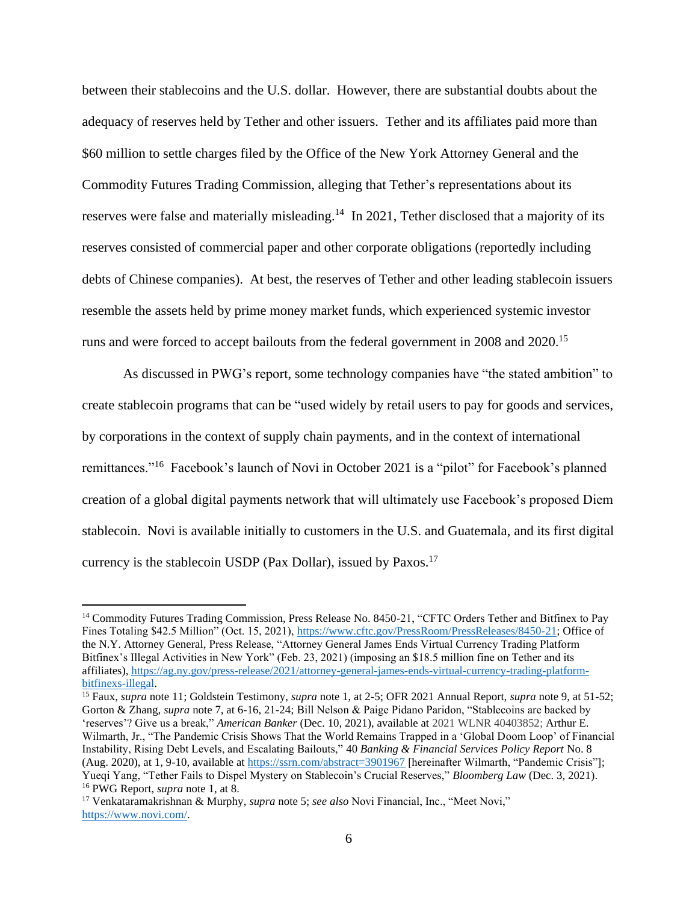between their stablecoins and the U.S. dollar. However, there are substantial doubts about the adequacy of reserves held by Tether and other issuers. Tether and its affiliates paid more than \$60 million to settle charges filed by the Office of the New York Attorney General and the Commodity Futures Trading Commission, alleging that Tether's representations about its reserves were false and materially misleading.<sup>14</sup> In 2021, Tether disclosed that a majority of its reserves consisted of commercial paper and other corporate obligations (reportedly including debts of Chinese companies). At best, the reserves of Tether and other leading stablecoin issuers resemble the assets held by prime money market funds, which experienced systemic investor runs and were forced to accept bailouts from the federal government in 2008 and 2020.<sup>15</sup>

As discussed in PWG's report, some technology companies have "the stated ambition" to create stablecoin programs that can be "used widely by retail users to pay for goods and services, by corporations in the context of supply chain payments, and in the context of international remittances."<sup>16</sup> Facebook's launch of Novi in October 2021 is a "pilot" for Facebook's planned creation of a global digital payments network that will ultimately use Facebook's proposed Diem stablecoin. Novi is available initially to customers in the U.S. and Guatemala, and its first digital currency is the stablecoin USDP (Pax Dollar), issued by Paxos.<sup>17</sup>

<sup>&</sup>lt;sup>14</sup> Commodity Futures Trading Commission, Press Release No. 8450-21, "CFTC Orders Tether and Bitfinex to Pay Fines Totaling \$42.5 Million" (Oct. 15, 2021), [https://www.cftc.gov/PressRoom/PressReleases/8450-21;](https://www.cftc.gov/PressRoom/PressReleases/8450-21) Office of the N.Y. Attorney General, Press Release, "Attorney General James Ends Virtual Currency Trading Platform Bitfinex's Illegal Activities in New York" (Feb. 23, 2021) (imposing an \$18.5 million fine on Tether and its affiliates), [https://ag.ny.gov/press-release/2021/attorney-general-james-ends-virtual-currency-trading-platform](https://ag.ny.gov/press-release/2021/attorney-general-james-ends-virtual-currency-trading-platform-bitfinexs-illegal)[bitfinexs-illegal.](https://ag.ny.gov/press-release/2021/attorney-general-james-ends-virtual-currency-trading-platform-bitfinexs-illegal) 

<sup>15</sup> Faux, *supra* note 11; Goldstein Testimony, *supra* note 1, at 2-5; OFR 2021 Annual Report, *supra* note 9, at 51-52; Gorton & Zhang, *supra* note 7, at 6-16, 21-24; Bill Nelson & Paige Pidano Paridon, "Stablecoins are backed by 'reserves'? Give us a break," *American Banker* (Dec. 10, 2021), available at 2021 WLNR 40403852; Arthur E. Wilmarth, Jr., "The Pandemic Crisis Shows That the World Remains Trapped in a 'Global Doom Loop' of Financial Instability, Rising Debt Levels, and Escalating Bailouts," 40 *Banking & Financial Services Policy Report* No. 8 (Aug. 2020), at 1, 9-10, available at<https://ssrn.com/abstract=3901967> [hereinafter Wilmarth, "Pandemic Crisis"]; Yueqi Yang, "Tether Fails to Dispel Mystery on Stablecoin's Crucial Reserves," *Bloomberg Law* (Dec. 3, 2021). <sup>16</sup> PWG Report, *supra* note 1, at 8.

<sup>17</sup> Venkataramakrishnan & Murphy, *supra* note 5; *see also* Novi Financial, Inc., "Meet Novi," [https://www.novi.com/.](https://www.novi.com/)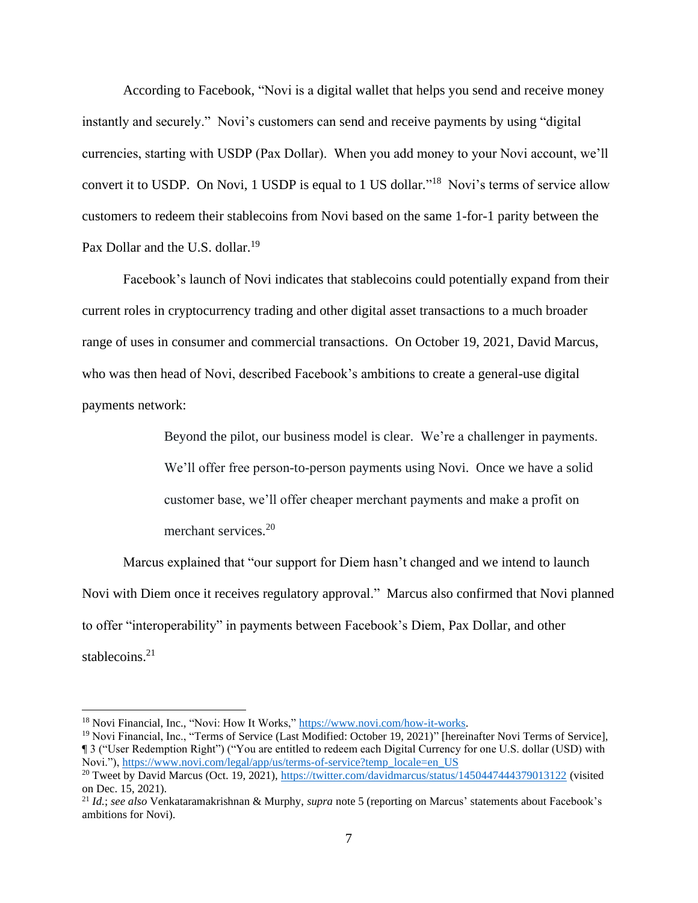According to Facebook, "Novi is a digital wallet that helps you send and receive money instantly and securely." Novi's customers can send and receive payments by using "digital currencies, starting with USDP (Pax Dollar). When you add money to your Novi account, we'll convert it to USDP. On Novi, 1 USDP is equal to 1 US dollar."<sup>18</sup> Novi's terms of service allow customers to redeem their stablecoins from Novi based on the same 1-for-1 parity between the Pax Dollar and the U.S. dollar.<sup>19</sup>

Facebook's launch of Novi indicates that stablecoins could potentially expand from their current roles in cryptocurrency trading and other digital asset transactions to a much broader range of uses in consumer and commercial transactions. On October 19, 2021, David Marcus, who was then head of Novi, described Facebook's ambitions to create a general-use digital payments network:

Beyond the pilot, our business model is clear. We're a challenger in payments.

We'll offer free person-to-person payments using Novi. Once we have a solid customer base, we'll offer cheaper merchant payments and make a profit on merchant services.<sup>20</sup>

Marcus explained that "our support for Diem hasn't changed and we intend to launch Novi with Diem once it receives regulatory approval." Marcus also confirmed that Novi planned to offer "interoperability" in payments between Facebook's Diem, Pax Dollar, and other stablecoins.<sup>21</sup>

<sup>18</sup> Novi Financial, Inc., "Novi: How It Works," [https://www.novi.com/how-it-works.](https://www.novi.com/how-it-works)

<sup>19</sup> Novi Financial, Inc., "Terms of Service (Last Modified: October 19, 2021)" [hereinafter Novi Terms of Service], ¶ 3 ("User Redemption Right") ("You are entitled to redeem each Digital Currency for one U.S. dollar (USD) with Novi."), [https://www.novi.com/legal/app/us/terms-of-service?temp\\_locale=en\\_US](https://www.novi.com/legal/app/us/terms-of-service?temp_locale=en_US)

<sup>&</sup>lt;sup>20</sup> Tweet by David Marcus (Oct. 19, 2021), <https://twitter.com/davidmarcus/status/1450447444379013122> (visited on Dec. 15, 2021).

<sup>21</sup> *Id.*; *see also* Venkataramakrishnan & Murphy, *supra* note 5 (reporting on Marcus' statements about Facebook's ambitions for Novi).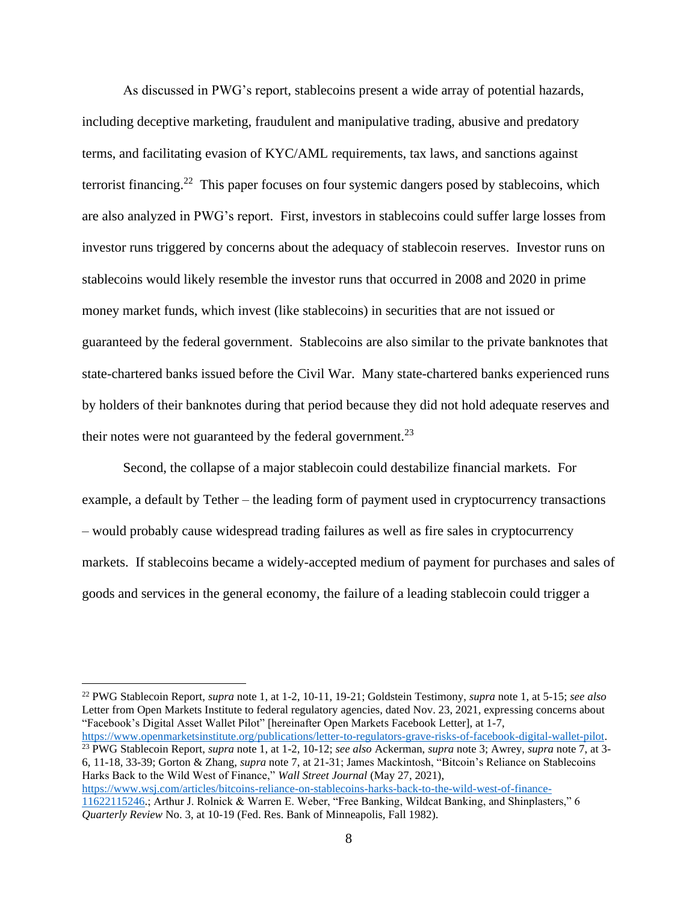As discussed in PWG's report, stablecoins present a wide array of potential hazards, including deceptive marketing, fraudulent and manipulative trading, abusive and predatory terms, and facilitating evasion of KYC/AML requirements, tax laws, and sanctions against terrorist financing.<sup>22</sup> This paper focuses on four systemic dangers posed by stablecoins, which are also analyzed in PWG's report. First, investors in stablecoins could suffer large losses from investor runs triggered by concerns about the adequacy of stablecoin reserves. Investor runs on stablecoins would likely resemble the investor runs that occurred in 2008 and 2020 in prime money market funds, which invest (like stablecoins) in securities that are not issued or guaranteed by the federal government. Stablecoins are also similar to the private banknotes that state-chartered banks issued before the Civil War. Many state-chartered banks experienced runs by holders of their banknotes during that period because they did not hold adequate reserves and their notes were not guaranteed by the federal government.<sup>23</sup>

Second, the collapse of a major stablecoin could destabilize financial markets. For example, a default by Tether – the leading form of payment used in cryptocurrency transactions – would probably cause widespread trading failures as well as fire sales in cryptocurrency markets. If stablecoins became a widely-accepted medium of payment for purchases and sales of goods and services in the general economy, the failure of a leading stablecoin could trigger a

[https://www.openmarketsinstitute.org/publications/letter-to-regulators-grave-risks-of-facebook-digital-wallet-pilot.](https://www.openmarketsinstitute.org/publications/letter-to-regulators-grave-risks-of-facebook-digital-wallet-pilot) <sup>23</sup> PWG Stablecoin Report, *supra* note 1, at 1-2, 10-12; *see also* Ackerman, *supra* note 3; Awrey, *supra* note 7, at 3- 6, 11-18, 33-39; Gorton & Zhang, *supra* note 7, at 21-31; James Mackintosh, "Bitcoin's Reliance on Stablecoins

Harks Back to the Wild West of Finance," *Wall Street Journal* (May 27, 2021), [https://www.wsj.com/articles/bitcoins-reliance-on-stablecoins-harks-back-to-the-wild-west-of-finance-](https://www.wsj.com/articles/bitcoins-reliance-on-stablecoins-harks-back-to-the-wild-west-of-finance-11622115246)[11622115246.](https://www.wsj.com/articles/bitcoins-reliance-on-stablecoins-harks-back-to-the-wild-west-of-finance-11622115246); Arthur J. Rolnick & Warren E. Weber, "Free Banking, Wildcat Banking, and Shinplasters," 6 *Quarterly Review* No. 3, at 10-19 (Fed. Res. Bank of Minneapolis, Fall 1982).

<sup>22</sup> PWG Stablecoin Report, *supra* note 1, at 1-2, 10-11, 19-21; Goldstein Testimony, *supra* note 1, at 5-15; *see also*  Letter from Open Markets Institute to federal regulatory agencies, dated Nov. 23, 2021, expressing concerns about "Facebook's Digital Asset Wallet Pilot" [hereinafter Open Markets Facebook Letter], at 1-7,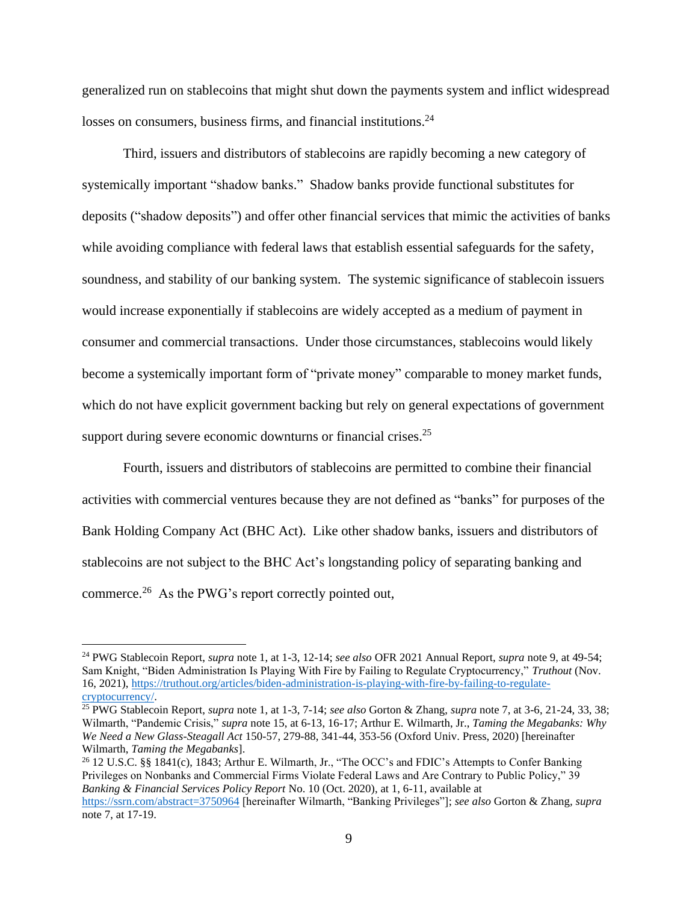generalized run on stablecoins that might shut down the payments system and inflict widespread losses on consumers, business firms, and financial institutions.<sup>24</sup>

Third, issuers and distributors of stablecoins are rapidly becoming a new category of systemically important "shadow banks." Shadow banks provide functional substitutes for deposits ("shadow deposits") and offer other financial services that mimic the activities of banks while avoiding compliance with federal laws that establish essential safeguards for the safety, soundness, and stability of our banking system. The systemic significance of stablecoin issuers would increase exponentially if stablecoins are widely accepted as a medium of payment in consumer and commercial transactions. Under those circumstances, stablecoins would likely become a systemically important form of "private money" comparable to money market funds, which do not have explicit government backing but rely on general expectations of government support during severe economic downturns or financial crises. $25$ 

Fourth, issuers and distributors of stablecoins are permitted to combine their financial activities with commercial ventures because they are not defined as "banks" for purposes of the Bank Holding Company Act (BHC Act). Like other shadow banks, issuers and distributors of stablecoins are not subject to the BHC Act's longstanding policy of separating banking and commerce.<sup>26</sup> As the PWG's report correctly pointed out,

<sup>26</sup> 12 U.S.C. §§ 1841(c), 1843; Arthur E. Wilmarth, Jr., "The OCC's and FDIC's Attempts to Confer Banking Privileges on Nonbanks and Commercial Firms Violate Federal Laws and Are Contrary to Public Policy," 39 *Banking & Financial Services Policy Report* No. 10 (Oct. 2020), at 1, 6-11, available at <https://ssrn.com/abstract=3750964> [hereinafter Wilmarth, "Banking Privileges"]; *see also* Gorton & Zhang*, supra* note 7, at 17-19.

<sup>24</sup> PWG Stablecoin Report, *supra* note 1, at 1-3, 12-14; *see also* OFR 2021 Annual Report, *supra* note 9, at 49-54; Sam Knight, "Biden Administration Is Playing With Fire by Failing to Regulate Cryptocurrency," *Truthout* (Nov. 16, 2021), [https://truthout.org/articles/biden-administration-is-playing-with-fire-by-failing-to-regulate](https://truthout.org/articles/biden-administration-is-playing-with-fire-by-failing-to-regulate-cryptocurrency/)[cryptocurrency/.](https://truthout.org/articles/biden-administration-is-playing-with-fire-by-failing-to-regulate-cryptocurrency/)

<sup>25</sup> PWG Stablecoin Report, *supra* note 1, at 1-3, 7-14; *see also* Gorton & Zhang, *supra* note 7, at 3-6, 21-24, 33, 38; Wilmarth, "Pandemic Crisis," *supra* note 15, at 6-13, 16-17; Arthur E. Wilmarth, Jr., *Taming the Megabanks: Why We Need a New Glass-Steagall Act* 150-57, 279-88, 341-44, 353-56 (Oxford Univ. Press, 2020) [hereinafter Wilmarth, *Taming the Megabanks*].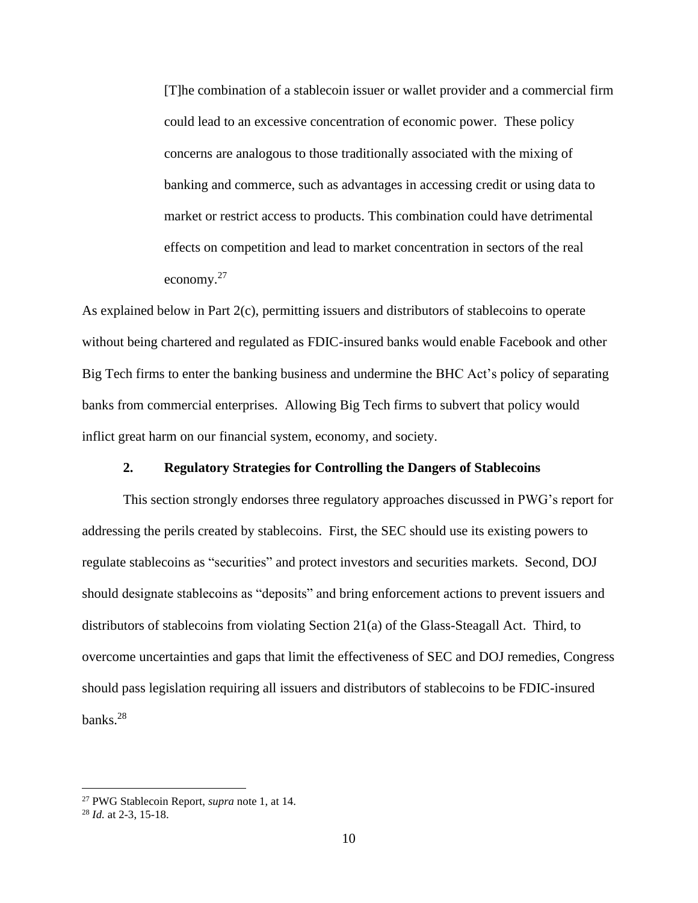[T]he combination of a stablecoin issuer or wallet provider and a commercial firm could lead to an excessive concentration of economic power. These policy concerns are analogous to those traditionally associated with the mixing of banking and commerce, such as advantages in accessing credit or using data to market or restrict access to products. This combination could have detrimental effects on competition and lead to market concentration in sectors of the real economy.<sup>27</sup>

As explained below in Part 2(c), permitting issuers and distributors of stablecoins to operate without being chartered and regulated as FDIC-insured banks would enable Facebook and other Big Tech firms to enter the banking business and undermine the BHC Act's policy of separating banks from commercial enterprises. Allowing Big Tech firms to subvert that policy would inflict great harm on our financial system, economy, and society.

### **2. Regulatory Strategies for Controlling the Dangers of Stablecoins**

This section strongly endorses three regulatory approaches discussed in PWG's report for addressing the perils created by stablecoins. First, the SEC should use its existing powers to regulate stablecoins as "securities" and protect investors and securities markets. Second, DOJ should designate stablecoins as "deposits" and bring enforcement actions to prevent issuers and distributors of stablecoins from violating Section 21(a) of the Glass-Steagall Act. Third, to overcome uncertainties and gaps that limit the effectiveness of SEC and DOJ remedies, Congress should pass legislation requiring all issuers and distributors of stablecoins to be FDIC-insured banks.<sup>28</sup>

<sup>27</sup> PWG Stablecoin Report, *supra* note 1, at 14.

<sup>28</sup> *Id.* at 2-3, 15-18.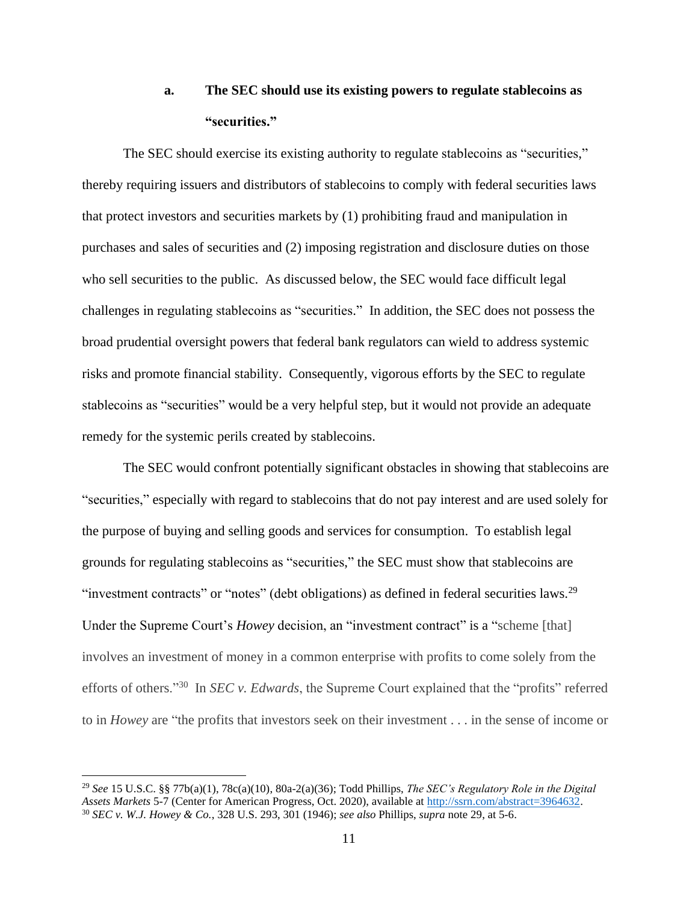### **a. The SEC should use its existing powers to regulate stablecoins as "securities."**

The SEC should exercise its existing authority to regulate stablecoins as "securities," thereby requiring issuers and distributors of stablecoins to comply with federal securities laws that protect investors and securities markets by (1) prohibiting fraud and manipulation in purchases and sales of securities and (2) imposing registration and disclosure duties on those who sell securities to the public. As discussed below, the SEC would face difficult legal challenges in regulating stablecoins as "securities." In addition, the SEC does not possess the broad prudential oversight powers that federal bank regulators can wield to address systemic risks and promote financial stability. Consequently, vigorous efforts by the SEC to regulate stablecoins as "securities" would be a very helpful step, but it would not provide an adequate remedy for the systemic perils created by stablecoins.

The SEC would confront potentially significant obstacles in showing that stablecoins are "securities," especially with regard to stablecoins that do not pay interest and are used solely for the purpose of buying and selling goods and services for consumption. To establish legal grounds for regulating stablecoins as "securities," the SEC must show that stablecoins are "investment contracts" or "notes" (debt obligations) as defined in federal securities laws.<sup>29</sup> Under the Supreme Court's *Howey* decision, an "investment contract" is a "scheme [that] involves an investment of money in a common enterprise with profits to come solely from the efforts of others."<sup>30</sup> In *SEC v. Edwards*, the Supreme Court explained that the "profits" referred to in *Howey* are "the profits that investors seek on their investment . . . in the sense of income or

<sup>29</sup> *See* 15 U.S.C. §§ 77b(a)(1), 78c(a)(10), 80a-2(a)(36); Todd Phillips, *The SEC's Regulatory Role in the Digital Assets Markets* 5-7 (Center for American Progress, Oct. 2020), available a[t http://ssrn.com/abstract=3964632.](http://ssrn.com/abstract=3964632) <sup>30</sup> *SEC v. W.J. Howey & Co.*, 328 U.S. 293, 301 (1946); *see also* Phillips, *supra* note 29, at 5-6.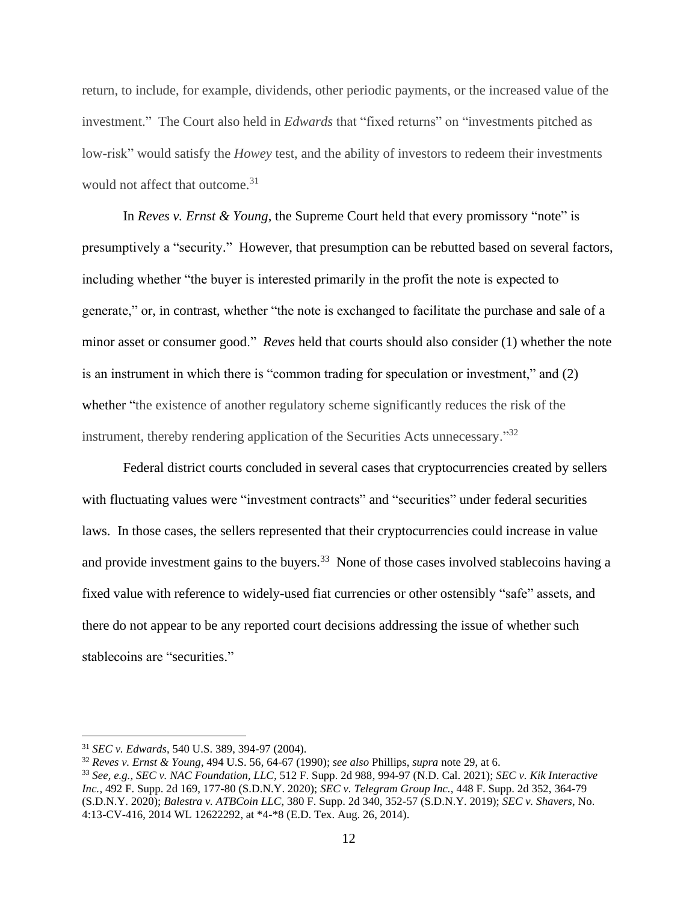return, to include, for example, dividends, other periodic payments, or the increased value of the investment." The Court also held in *Edwards* that "fixed returns" on "investments pitched as low-risk" would satisfy the *Howey* test, and the ability of investors to redeem their investments would not affect that outcome. 31

In *Reves v. Ernst & Young*, the Supreme Court held that every promissory "note" is presumptively a "security." However, that presumption can be rebutted based on several factors, including whether "the buyer is interested primarily in the profit the note is expected to generate," or, in contrast, whether "the note is exchanged to facilitate the purchase and sale of a minor asset or consumer good." *Reves* held that courts should also consider (1) whether the note is an instrument in which there is "common trading for speculation or investment," and (2) whether "the existence of another regulatory scheme significantly reduces the risk of the instrument, thereby rendering application of the Securities Acts unnecessary."<sup>32</sup>

Federal district courts concluded in several cases that cryptocurrencies created by sellers with fluctuating values were "investment contracts" and "securities" under federal securities laws. In those cases, the sellers represented that their cryptocurrencies could increase in value and provide investment gains to the buyers.<sup>33</sup> None of those cases involved stablecoins having a fixed value with reference to widely-used fiat currencies or other ostensibly "safe" assets, and there do not appear to be any reported court decisions addressing the issue of whether such stablecoins are "securities."

<sup>31</sup> *SEC v. Edwards*, 540 U.S. 389, 394-97 (2004).

<sup>32</sup> *Reves v. Ernst & Young*, 494 U.S. 56, 64-67 (1990); *see also* Phillips, *supra* note 29, at 6.

<sup>33</sup> *See, e.g., SEC v. NAC Foundation, LLC*, 512 F. Supp. 2d 988, 994-97 (N.D. Cal. 2021); *SEC v. Kik Interactive Inc.*, 492 F. Supp. 2d 169, 177-80 (S.D.N.Y. 2020); *SEC v. Telegram Group Inc.*, 448 F. Supp. 2d 352, 364-79 (S.D.N.Y. 2020); *Balestra v. ATBCoin LLC*, 380 F. Supp. 2d 340, 352-57 (S.D.N.Y. 2019); *SEC v. Shavers*, No. 4:13-CV-416, 2014 WL 12622292, at \*4-\*8 (E.D. Tex. Aug. 26, 2014).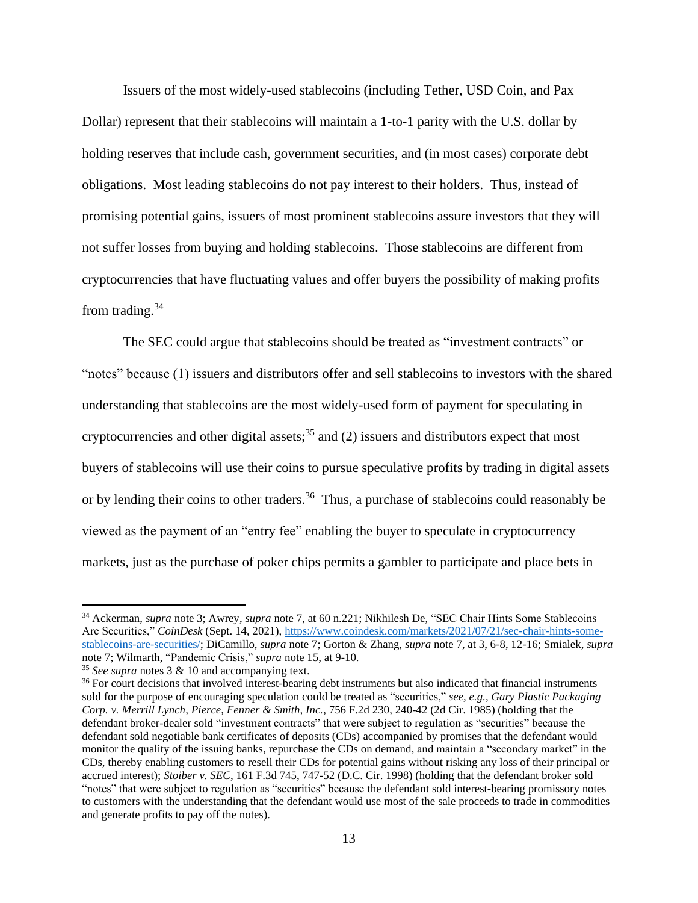Issuers of the most widely-used stablecoins (including Tether, USD Coin, and Pax Dollar) represent that their stablecoins will maintain a 1-to-1 parity with the U.S. dollar by holding reserves that include cash, government securities, and (in most cases) corporate debt obligations. Most leading stablecoins do not pay interest to their holders. Thus, instead of promising potential gains, issuers of most prominent stablecoins assure investors that they will not suffer losses from buying and holding stablecoins. Those stablecoins are different from cryptocurrencies that have fluctuating values and offer buyers the possibility of making profits from trading.<sup>34</sup>

The SEC could argue that stablecoins should be treated as "investment contracts" or "notes" because (1) issuers and distributors offer and sell stablecoins to investors with the shared understanding that stablecoins are the most widely-used form of payment for speculating in cryptocurrencies and other digital assets;<sup>35</sup> and (2) issuers and distributors expect that most buyers of stablecoins will use their coins to pursue speculative profits by trading in digital assets or by lending their coins to other traders.<sup>36</sup> Thus, a purchase of stablecoins could reasonably be viewed as the payment of an "entry fee" enabling the buyer to speculate in cryptocurrency markets, just as the purchase of poker chips permits a gambler to participate and place bets in

<sup>34</sup> Ackerman, *supra* note 3; Awrey, *supra* note 7, at 60 n.221; Nikhilesh De, "SEC Chair Hints Some Stablecoins Are Securities," *CoinDesk* (Sept. 14, 2021)[, https://www.coindesk.com/markets/2021/07/21/sec-chair-hints-some](https://www.coindesk.com/markets/2021/07/21/sec-chair-hints-some-stablecoins-are-securities/)[stablecoins-are-securities/;](https://www.coindesk.com/markets/2021/07/21/sec-chair-hints-some-stablecoins-are-securities/) DiCamillo, *supra* note 7; Gorton & Zhang, *supra* note 7, at 3, 6-8, 12-16; Smialek, *supra*  note 7; Wilmarth, "Pandemic Crisis," *supra* note 15, at 9-10.

<sup>35</sup> *See supra* notes 3 & 10 and accompanying text.

<sup>&</sup>lt;sup>36</sup> For court decisions that involved interest-bearing debt instruments but also indicated that financial instruments sold for the purpose of encouraging speculation could be treated as "securities," *see, e.g., Gary Plastic Packaging Corp. v. Merrill Lynch, Pierce, Fenner & Smith, Inc.*, 756 F.2d 230, 240-42 (2d Cir. 1985) (holding that the defendant broker-dealer sold "investment contracts" that were subject to regulation as "securities" because the defendant sold negotiable bank certificates of deposits (CDs) accompanied by promises that the defendant would monitor the quality of the issuing banks, repurchase the CDs on demand, and maintain a "secondary market" in the CDs, thereby enabling customers to resell their CDs for potential gains without risking any loss of their principal or accrued interest); *Stoiber v. SEC*, 161 F.3d 745, 747-52 (D.C. Cir. 1998) (holding that the defendant broker sold "notes" that were subject to regulation as "securities" because the defendant sold interest-bearing promissory notes to customers with the understanding that the defendant would use most of the sale proceeds to trade in commodities and generate profits to pay off the notes).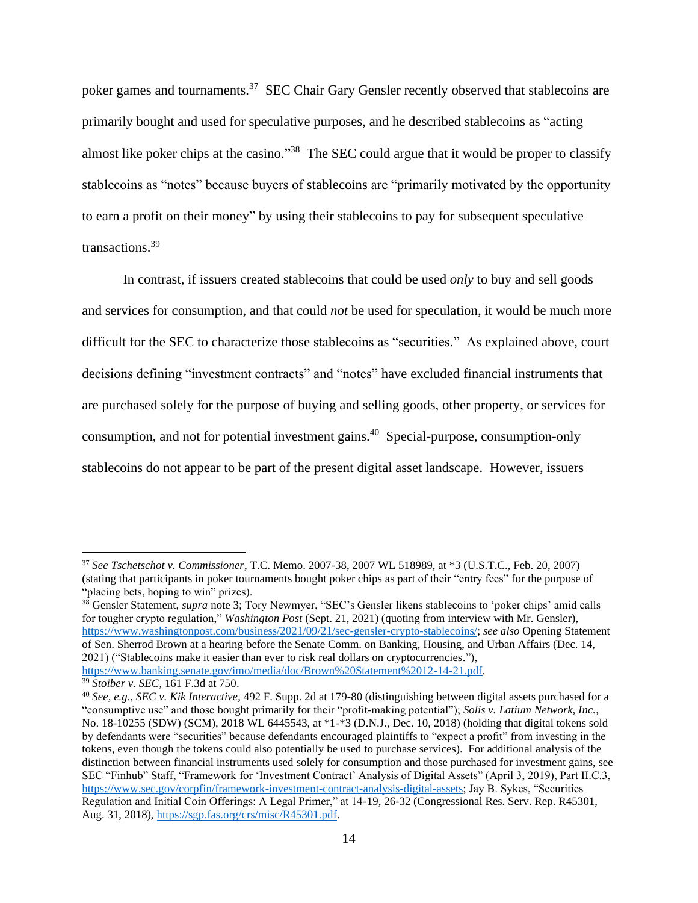poker games and tournaments.<sup>37</sup> SEC Chair Gary Gensler recently observed that stablecoins are primarily bought and used for speculative purposes, and he described stablecoins as "acting almost like poker chips at the casino."<sup>38</sup> The SEC could argue that it would be proper to classify stablecoins as "notes" because buyers of stablecoins are "primarily motivated by the opportunity to earn a profit on their money" by using their stablecoins to pay for subsequent speculative transactions.<sup>39</sup>

In contrast, if issuers created stablecoins that could be used *only* to buy and sell goods and services for consumption, and that could *not* be used for speculation, it would be much more difficult for the SEC to characterize those stablecoins as "securities." As explained above, court decisions defining "investment contracts" and "notes" have excluded financial instruments that are purchased solely for the purpose of buying and selling goods, other property, or services for consumption, and not for potential investment gains. <sup>40</sup> Special-purpose, consumption-only stablecoins do not appear to be part of the present digital asset landscape. However, issuers

<sup>37</sup> *See Tschetschot v. Commissioner*, T.C. Memo. 2007-38, 2007 WL 518989, at \*3 (U.S.T.C., Feb. 20, 2007) (stating that participants in poker tournaments bought poker chips as part of their "entry fees" for the purpose of "placing bets, hoping to win" prizes).

<sup>&</sup>lt;sup>38</sup> Gensler Statement, *supra* note 3; Tory Newmyer, "SEC's Gensler likens stablecoins to 'poker chips' amid calls for tougher crypto regulation," *Washington Post* (Sept. 21, 2021) (quoting from interview with Mr. Gensler), [https://www.washingtonpost.com/business/2021/09/21/sec-gensler-crypto-stablecoins/;](https://www.washingtonpost.com/business/2021/09/21/sec-gensler-crypto-stablecoins/) *see also* Opening Statement of Sen. Sherrod Brown at a hearing before the Senate Comm. on Banking, Housing, and Urban Affairs (Dec. 14, 2021) ("Stablecoins make it easier than ever to risk real dollars on cryptocurrencies."), [https://www.banking.senate.gov/imo/media/doc/Brown%20Statement%2012-14-21.pdf.](https://www.banking.senate.gov/imo/media/doc/Brown%20Statement%2012-14-21.pdf)

<sup>39</sup> *Stoiber v. SEC*, 161 F.3d at 750.

<sup>40</sup> *See, e.g., SEC v. Kik Interactive*, 492 F. Supp. 2d at 179-80 (distinguishing between digital assets purchased for a "consumptive use" and those bought primarily for their "profit-making potential"); *Solis v. Latium Network, Inc.*, No. 18-10255 (SDW) (SCM), 2018 WL 6445543, at \*1-\*3 (D.N.J., Dec. 10, 2018) (holding that digital tokens sold by defendants were "securities" because defendants encouraged plaintiffs to "expect a profit" from investing in the tokens, even though the tokens could also potentially be used to purchase services). For additional analysis of the distinction between financial instruments used solely for consumption and those purchased for investment gains, see SEC "Finhub" Staff, "Framework for 'Investment Contract' Analysis of Digital Assets" (April 3, 2019), Part II.C.3, [https://www.sec.gov/corpfin/framework-investment-contract-analysis-digital-assets;](https://www.sec.gov/corpfin/framework-investment-contract-analysis-digital-assets) Jay B. Sykes, "Securities Regulation and Initial Coin Offerings: A Legal Primer," at 14-19, 26-32 (Congressional Res. Serv. Rep. R45301, Aug. 31, 2018)[, https://sgp.fas.org/crs/misc/R45301.pdf.](https://sgp.fas.org/crs/misc/R45301.pdf)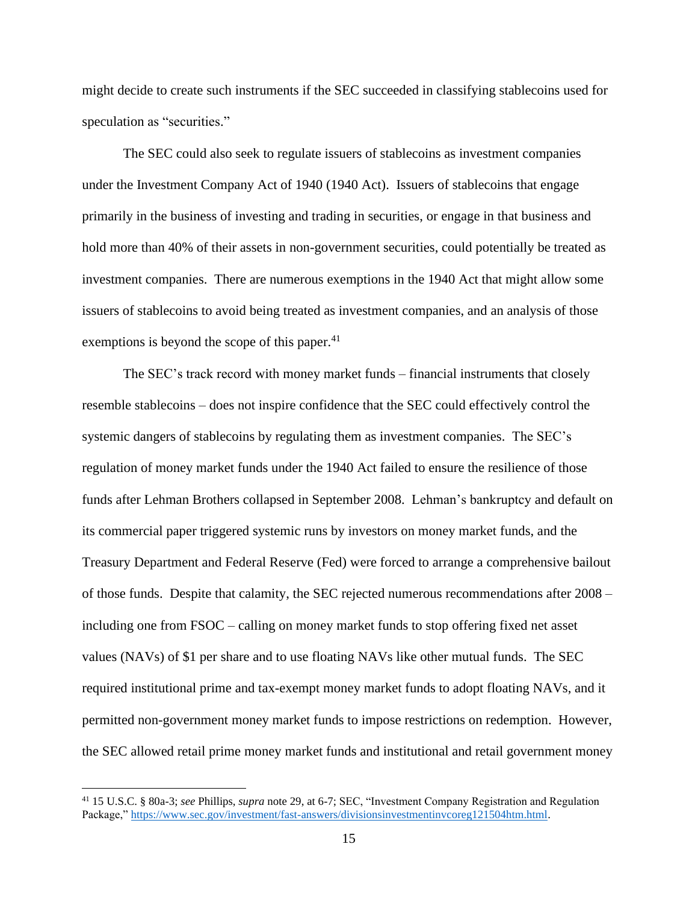might decide to create such instruments if the SEC succeeded in classifying stablecoins used for speculation as "securities."

The SEC could also seek to regulate issuers of stablecoins as investment companies under the Investment Company Act of 1940 (1940 Act). Issuers of stablecoins that engage primarily in the business of investing and trading in securities, or engage in that business and hold more than 40% of their assets in non-government securities, could potentially be treated as investment companies. There are numerous exemptions in the 1940 Act that might allow some issuers of stablecoins to avoid being treated as investment companies, and an analysis of those exemptions is beyond the scope of this paper. $41$ 

The SEC's track record with money market funds – financial instruments that closely resemble stablecoins – does not inspire confidence that the SEC could effectively control the systemic dangers of stablecoins by regulating them as investment companies. The SEC's regulation of money market funds under the 1940 Act failed to ensure the resilience of those funds after Lehman Brothers collapsed in September 2008. Lehman's bankruptcy and default on its commercial paper triggered systemic runs by investors on money market funds, and the Treasury Department and Federal Reserve (Fed) were forced to arrange a comprehensive bailout of those funds. Despite that calamity, the SEC rejected numerous recommendations after 2008 – including one from FSOC – calling on money market funds to stop offering fixed net asset values (NAVs) of \$1 per share and to use floating NAVs like other mutual funds. The SEC required institutional prime and tax-exempt money market funds to adopt floating NAVs, and it permitted non-government money market funds to impose restrictions on redemption. However, the SEC allowed retail prime money market funds and institutional and retail government money

<sup>41</sup> 15 U.S.C. § 80a-3; *see* Phillips, *supra* note 29, at 6-7; SEC, "Investment Company Registration and Regulation Package,[" https://www.sec.gov/investment/fast-answers/divisionsinvestmentinvcoreg121504htm.html.](https://www.sec.gov/investment/fast-answers/divisionsinvestmentinvcoreg121504htm.html)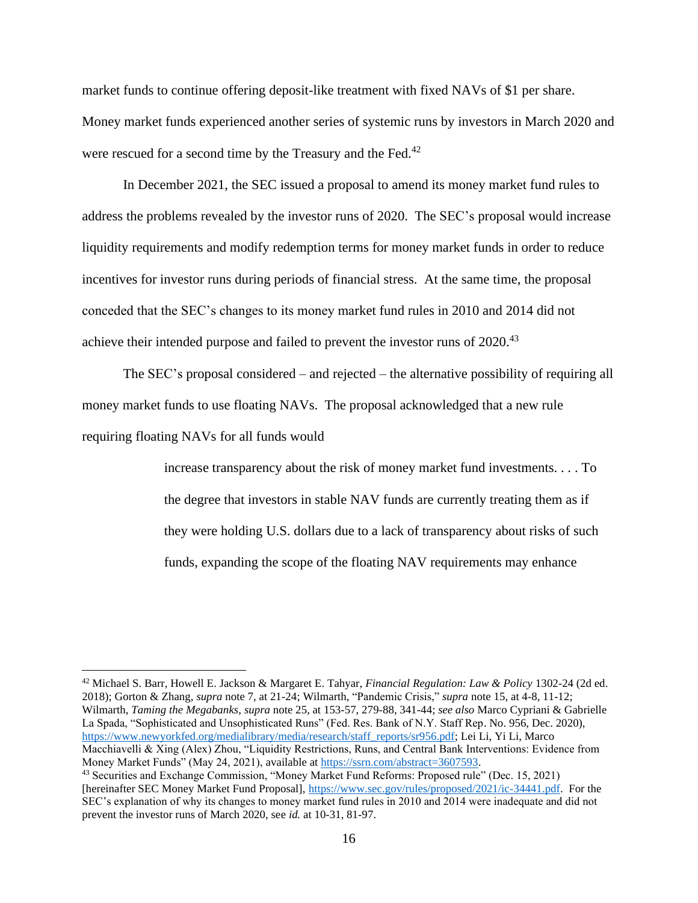market funds to continue offering deposit-like treatment with fixed NAVs of \$1 per share. Money market funds experienced another series of systemic runs by investors in March 2020 and were rescued for a second time by the Treasury and the Fed.<sup>42</sup>

In December 2021, the SEC issued a proposal to amend its money market fund rules to address the problems revealed by the investor runs of 2020. The SEC's proposal would increase liquidity requirements and modify redemption terms for money market funds in order to reduce incentives for investor runs during periods of financial stress. At the same time, the proposal conceded that the SEC's changes to its money market fund rules in 2010 and 2014 did not achieve their intended purpose and failed to prevent the investor runs of 2020.<sup>43</sup>

The SEC's proposal considered – and rejected – the alternative possibility of requiring all money market funds to use floating NAVs. The proposal acknowledged that a new rule requiring floating NAVs for all funds would

> increase transparency about the risk of money market fund investments. . . . To the degree that investors in stable NAV funds are currently treating them as if they were holding U.S. dollars due to a lack of transparency about risks of such funds, expanding the scope of the floating NAV requirements may enhance

<sup>42</sup> Michael S. Barr, Howell E. Jackson & Margaret E. Tahyar, *Financial Regulation: Law & Policy* 1302-24 (2d ed. 2018); Gorton & Zhang, *supra* note 7, at 21-24; Wilmarth, "Pandemic Crisis," *supra* note 15, at 4-8, 11-12; Wilmarth, *Taming the Megabanks*, *supra* note 25, at 153-57, 279-88, 341-44; *see also* Marco Cypriani & Gabrielle La Spada, "Sophisticated and Unsophisticated Runs" (Fed. Res. Bank of N.Y. Staff Rep. No. 956, Dec. 2020), [https://www.newyorkfed.org/medialibrary/media/research/staff\\_reports/sr956.pdf;](https://www.newyorkfed.org/medialibrary/media/research/staff_reports/sr956.pdf) Lei Li, Yi Li, Marco Macchiavelli & Xing (Alex) Zhou, "Liquidity Restrictions, Runs, and Central Bank Interventions: Evidence from Money Market Funds" (May 24, 2021), available at [https://ssrn.com/abstract=3607593.](https://ssrn.com/abstract=3607593)

<sup>43</sup> Securities and Exchange Commission, "Money Market Fund Reforms: Proposed rule" (Dec. 15, 2021) [hereinafter SEC Money Market Fund Proposal], [https://www.sec.gov/rules/proposed/2021/ic-34441.pdf.](https://www.sec.gov/rules/proposed/2021/ic-34441.pdf) For the SEC's explanation of why its changes to money market fund rules in 2010 and 2014 were inadequate and did not prevent the investor runs of March 2020, see *id.* at 10-31, 81-97.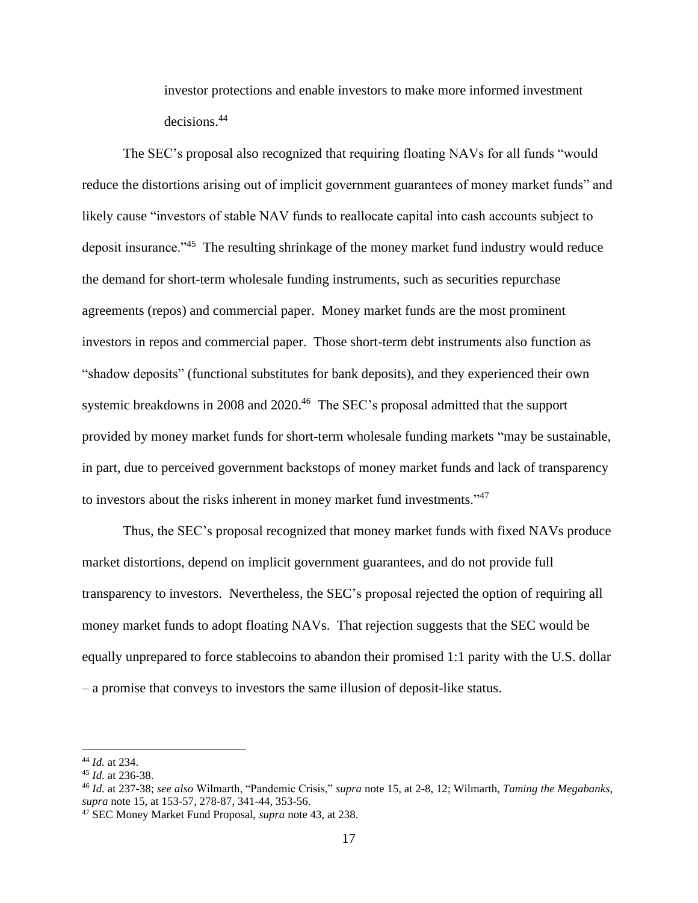investor protections and enable investors to make more informed investment decisions.<sup>44</sup>

The SEC's proposal also recognized that requiring floating NAVs for all funds "would reduce the distortions arising out of implicit government guarantees of money market funds" and likely cause "investors of stable NAV funds to reallocate capital into cash accounts subject to deposit insurance."<sup>45</sup> The resulting shrinkage of the money market fund industry would reduce the demand for short-term wholesale funding instruments, such as securities repurchase agreements (repos) and commercial paper. Money market funds are the most prominent investors in repos and commercial paper. Those short-term debt instruments also function as "shadow deposits" (functional substitutes for bank deposits), and they experienced their own systemic breakdowns in 2008 and 2020.<sup>46</sup> The SEC's proposal admitted that the support provided by money market funds for short-term wholesale funding markets "may be sustainable, in part, due to perceived government backstops of money market funds and lack of transparency to investors about the risks inherent in money market fund investments."<sup>47</sup>

Thus, the SEC's proposal recognized that money market funds with fixed NAVs produce market distortions, depend on implicit government guarantees, and do not provide full transparency to investors. Nevertheless, the SEC's proposal rejected the option of requiring all money market funds to adopt floating NAVs. That rejection suggests that the SEC would be equally unprepared to force stablecoins to abandon their promised 1:1 parity with the U.S. dollar – a promise that conveys to investors the same illusion of deposit-like status.

<sup>44</sup> *Id.* at 234.

<sup>45</sup> *Id.* at 236-38.

<sup>46</sup> *Id.* at 237-38; *see also* Wilmarth, "Pandemic Crisis," *supra* note 15, at 2-8, 12; Wilmarth, *Taming the Megabanks*, *supra* note 15, at 153-57, 278-87, 341-44, 353-56.

<sup>47</sup> SEC Money Market Fund Proposal, *supra* note 43, at 238.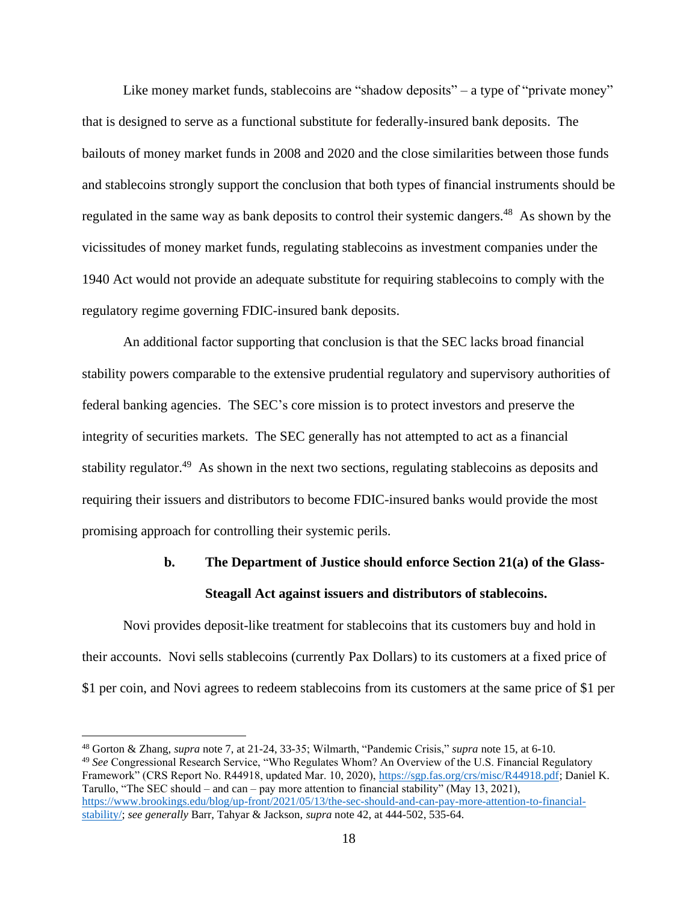Like money market funds, stablecoins are "shadow deposits" – a type of "private money" that is designed to serve as a functional substitute for federally-insured bank deposits. The bailouts of money market funds in 2008 and 2020 and the close similarities between those funds and stablecoins strongly support the conclusion that both types of financial instruments should be regulated in the same way as bank deposits to control their systemic dangers.<sup>48</sup> As shown by the vicissitudes of money market funds, regulating stablecoins as investment companies under the 1940 Act would not provide an adequate substitute for requiring stablecoins to comply with the regulatory regime governing FDIC-insured bank deposits.

An additional factor supporting that conclusion is that the SEC lacks broad financial stability powers comparable to the extensive prudential regulatory and supervisory authorities of federal banking agencies. The SEC's core mission is to protect investors and preserve the integrity of securities markets. The SEC generally has not attempted to act as a financial stability regulator.<sup>49</sup> As shown in the next two sections, regulating stablecoins as deposits and requiring their issuers and distributors to become FDIC-insured banks would provide the most promising approach for controlling their systemic perils.

## **b. The Department of Justice should enforce Section 21(a) of the Glass-Steagall Act against issuers and distributors of stablecoins.**

Novi provides deposit-like treatment for stablecoins that its customers buy and hold in their accounts. Novi sells stablecoins (currently Pax Dollars) to its customers at a fixed price of \$1 per coin, and Novi agrees to redeem stablecoins from its customers at the same price of \$1 per

<sup>48</sup> Gorton & Zhang, *supra* note 7, at 21-24, 33-35; Wilmarth, "Pandemic Crisis," *supra* note 15, at 6-10. <sup>49</sup> *See* Congressional Research Service, "Who Regulates Whom? An Overview of the U.S. Financial Regulatory Framework" (CRS Report No. R44918, updated Mar. 10, 2020), [https://sgp.fas.org/crs/misc/R44918.pdf;](https://sgp.fas.org/crs/misc/R44918.pdf) Daniel K. Tarullo, "The SEC should – and can – pay more attention to financial stability" (May 13, 2021), [https://www.brookings.edu/blog/up-front/2021/05/13/the-sec-should-and-can-pay-more-attention-to-financial](https://www.brookings.edu/blog/up-front/2021/05/13/the-sec-should-and-can-pay-more-attention-to-financial-stability/)[stability/;](https://www.brookings.edu/blog/up-front/2021/05/13/the-sec-should-and-can-pay-more-attention-to-financial-stability/) *see generally* Barr, Tahyar & Jackson, *supra* note 42, at 444-502, 535-64.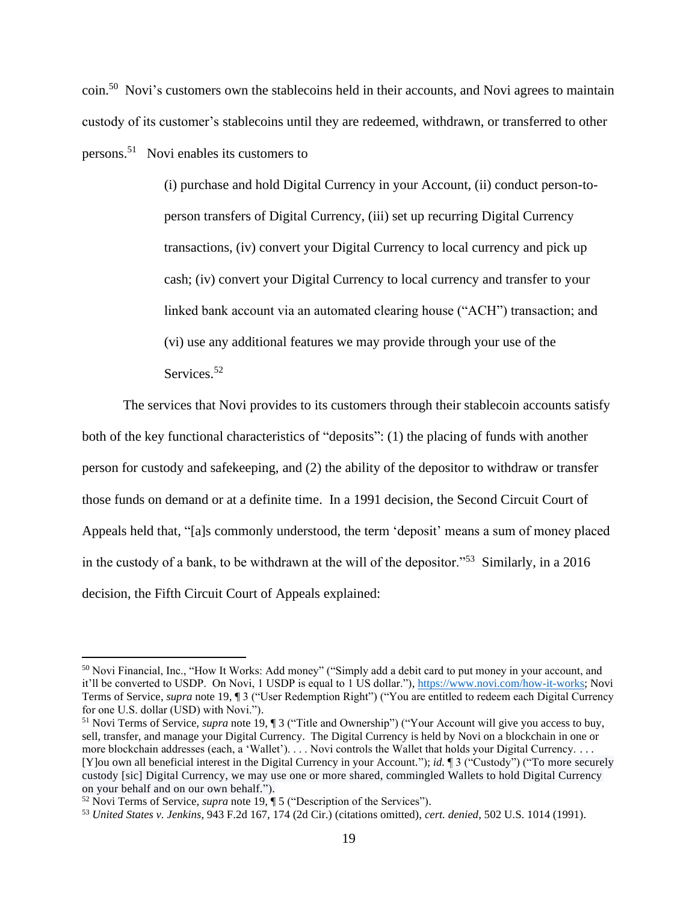coin.<sup>50</sup> Novi's customers own the stablecoins held in their accounts, and Novi agrees to maintain custody of its customer's stablecoins until they are redeemed, withdrawn, or transferred to other persons.<sup>51</sup> Novi enables its customers to

> (i) purchase and hold Digital Currency in your Account, (ii) conduct person-toperson transfers of Digital Currency, (iii) set up recurring Digital Currency transactions, (iv) convert your Digital Currency to local currency and pick up cash; (iv) convert your Digital Currency to local currency and transfer to your linked bank account via an automated clearing house ("ACH") transaction; and (vi) use any additional features we may provide through your use of the Services.<sup>52</sup>

The services that Novi provides to its customers through their stablecoin accounts satisfy both of the key functional characteristics of "deposits": (1) the placing of funds with another person for custody and safekeeping, and (2) the ability of the depositor to withdraw or transfer those funds on demand or at a definite time. In a 1991 decision, the Second Circuit Court of Appeals held that, "[a]s commonly understood, the term 'deposit' means a sum of money placed in the custody of a bank, to be withdrawn at the will of the depositor."<sup>53</sup> Similarly, in a 2016 decision, the Fifth Circuit Court of Appeals explained:

<sup>50</sup> Novi Financial, Inc., "How It Works: Add money" ("Simply add a debit card to put money in your account, and it'll be converted to USDP. On Novi, 1 USDP is equal to 1 US dollar.")[, https://www.novi.com/how-it-works;](https://www.novi.com/how-it-works) Novi Terms of Service, *supra* note 19, ¶ 3 ("User Redemption Right") ("You are entitled to redeem each Digital Currency for one U.S. dollar (USD) with Novi.").

<sup>51</sup> Novi Terms of Service, *supra* note 19, ¶ 3 ("Title and Ownership") ("Your Account will give you access to buy, sell, transfer, and manage your Digital Currency. The Digital Currency is held by Novi on a blockchain in one or more blockchain addresses (each, a 'Wallet'). . . . Novi controls the Wallet that holds your Digital Currency. . . . [Y]ou own all beneficial interest in the Digital Currency in your Account."); *id.* ¶ 3 ("Custody") ("To more securely custody [sic] Digital Currency, we may use one or more shared, commingled Wallets to hold Digital Currency on your behalf and on our own behalf.").

<sup>52</sup> Novi Terms of Service, *supra* note 19, ¶ 5 ("Description of the Services").

<sup>53</sup> *United States v. Jenkins*, 943 F.2d 167, 174 (2d Cir.) (citations omitted), *cert. denied*, 502 U.S. 1014 (1991).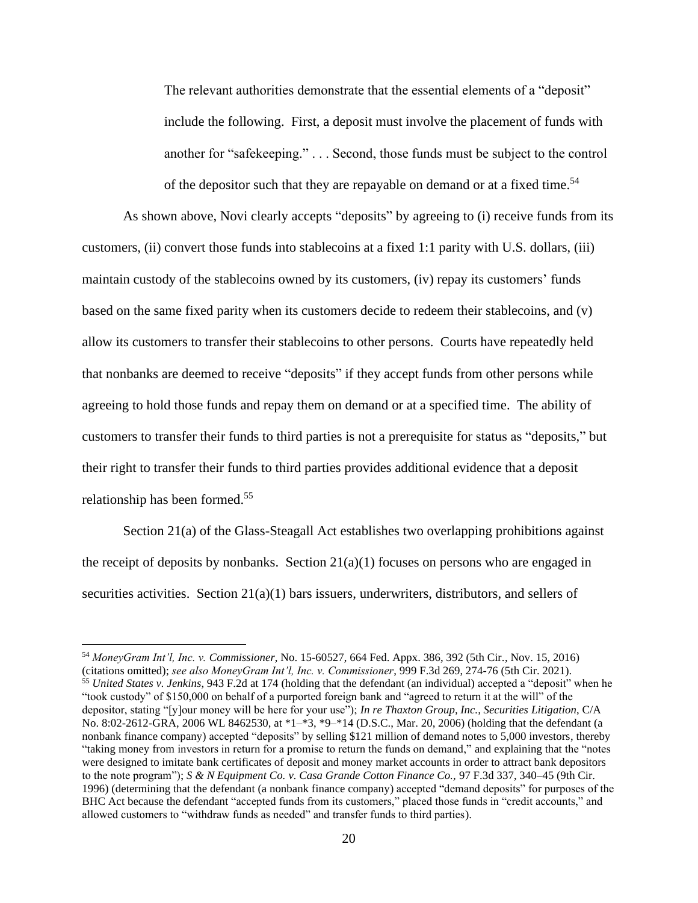The relevant authorities demonstrate that the essential elements of a "deposit" include the following. First, a deposit must involve the placement of funds with another for "safekeeping." . . . Second, those funds must be subject to the control of the depositor such that they are repayable on demand or at a fixed time.<sup>54</sup>

As shown above, Novi clearly accepts "deposits" by agreeing to (i) receive funds from its customers, (ii) convert those funds into stablecoins at a fixed 1:1 parity with U.S. dollars, (iii) maintain custody of the stablecoins owned by its customers, (iv) repay its customers' funds based on the same fixed parity when its customers decide to redeem their stablecoins, and (v) allow its customers to transfer their stablecoins to other persons. Courts have repeatedly held that nonbanks are deemed to receive "deposits" if they accept funds from other persons while agreeing to hold those funds and repay them on demand or at a specified time. The ability of customers to transfer their funds to third parties is not a prerequisite for status as "deposits," but their right to transfer their funds to third parties provides additional evidence that a deposit relationship has been formed.<sup>55</sup>

Section 21(a) of the Glass-Steagall Act establishes two overlapping prohibitions against the receipt of deposits by nonbanks. Section  $21(a)(1)$  focuses on persons who are engaged in securities activities. Section 21(a)(1) bars issuers, underwriters, distributors, and sellers of

<sup>54</sup> *MoneyGram Int'l, Inc. v. Commissioner*, No. 15-60527, 664 Fed. Appx. 386, 392 (5th Cir., Nov. 15, 2016) (citations omitted); *see also MoneyGram Int'l, Inc. v. Commissioner*, 999 F.3d 269, 274-76 (5th Cir. 2021). <sup>55</sup> *United States v. Jenkins*, 943 F.2d at 174 (holding that the defendant (an individual) accepted a "deposit" when he "took custody" of \$150,000 on behalf of a purported foreign bank and "agreed to return it at the will" of the depositor, stating "[y]our money will be here for your use"); *In re Thaxton Group, Inc., Securities Litigation*, C/A No. 8:02-2612-GRA, 2006 WL 8462530, at \*1–\*3, \*9–\*14 (D.S.C., Mar. 20, 2006) (holding that the defendant (a nonbank finance company) accepted "deposits" by selling \$121 million of demand notes to 5,000 investors, thereby "taking money from investors in return for a promise to return the funds on demand," and explaining that the "notes were designed to imitate bank certificates of deposit and money market accounts in order to attract bank depositors to the note program"); *S & N Equipment Co. v. Casa Grande Cotton Finance Co.,* 97 F.3d 337, 340–45 (9th Cir. 1996) (determining that the defendant (a nonbank finance company) accepted "demand deposits" for purposes of the BHC Act because the defendant "accepted funds from its customers," placed those funds in "credit accounts," and allowed customers to "withdraw funds as needed" and transfer funds to third parties).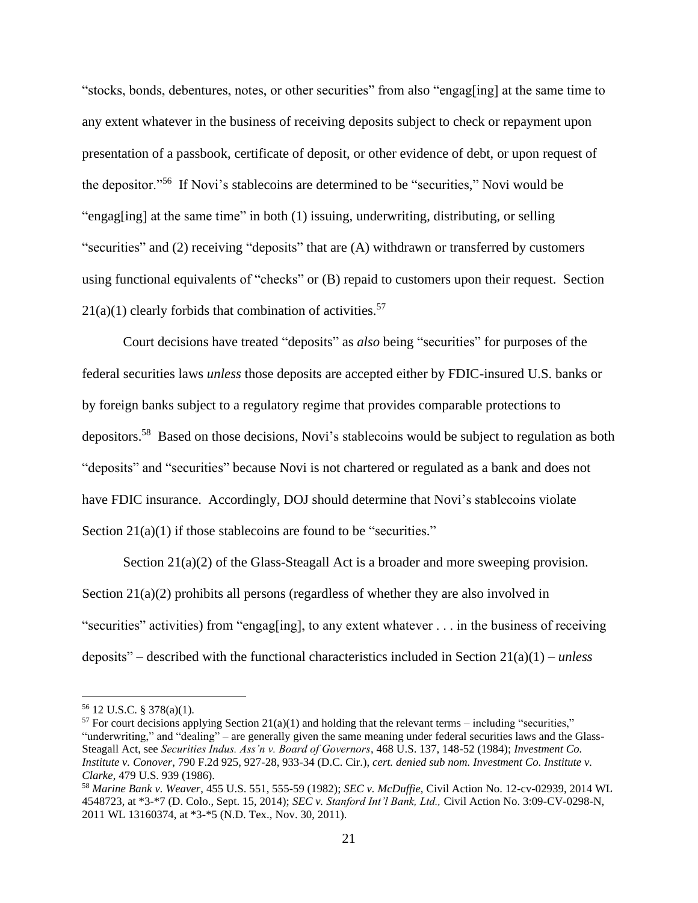"stocks, bonds, debentures, notes, or other securities" from also "engag[ing] at the same time to any extent whatever in the business of receiving deposits subject to check or repayment upon presentation of a passbook, certificate of deposit, or other evidence of debt, or upon request of the depositor."<sup>56</sup> If Novi's stablecoins are determined to be "securities," Novi would be "engag[ing] at the same time" in both (1) issuing, underwriting, distributing, or selling "securities" and (2) receiving "deposits" that are (A) withdrawn or transferred by customers using functional equivalents of "checks" or (B) repaid to customers upon their request. Section  $21(a)(1)$  clearly forbids that combination of activities.<sup>57</sup>

Court decisions have treated "deposits" as *also* being "securities" for purposes of the federal securities laws *unless* those deposits are accepted either by FDIC-insured U.S. banks or by foreign banks subject to a regulatory regime that provides comparable protections to depositors.<sup>58</sup> Based on those decisions, Novi's stablecoins would be subject to regulation as both "deposits" and "securities" because Novi is not chartered or regulated as a bank and does not have FDIC insurance. Accordingly, DOJ should determine that Novi's stablecoins violate Section  $21(a)(1)$  if those stablecoins are found to be "securities."

Section 21(a)(2) of the Glass-Steagall Act is a broader and more sweeping provision. Section 21(a)(2) prohibits all persons (regardless of whether they are also involved in "securities" activities) from "engag[ing], to any extent whatever . . . in the business of receiving deposits" – described with the functional characteristics included in Section 21(a)(1) – *unless*

<sup>56</sup> 12 U.S.C. § 378(a)(1).

<sup>&</sup>lt;sup>57</sup> For court decisions applying Section 21(a)(1) and holding that the relevant terms – including "securities," "underwriting," and "dealing" – are generally given the same meaning under federal securities laws and the Glass-Steagall Act, see *Securities Indus. Ass'n v. Board of Governors*, 468 U.S. 137, 148-52 (1984); *Investment Co. Institute v. Conover*, 790 F.2d 925, 927-28, 933-34 (D.C. Cir.), *cert. denied sub nom. Investment Co. Institute v. Clarke*, 479 U.S. 939 (1986).

<sup>58</sup> *Marine Bank v. Weaver*, 455 U.S. 551, 555-59 (1982); *SEC v. McDuffie*, Civil Action No. 12-cv-02939, 2014 WL 4548723, at \*3-\*7 (D. Colo., Sept. 15, 2014); *SEC v. Stanford Int'l Bank, Ltd.,* Civil Action No. 3:09-CV-0298-N, 2011 WL 13160374, at \*3-\*5 (N.D. Tex., Nov. 30, 2011).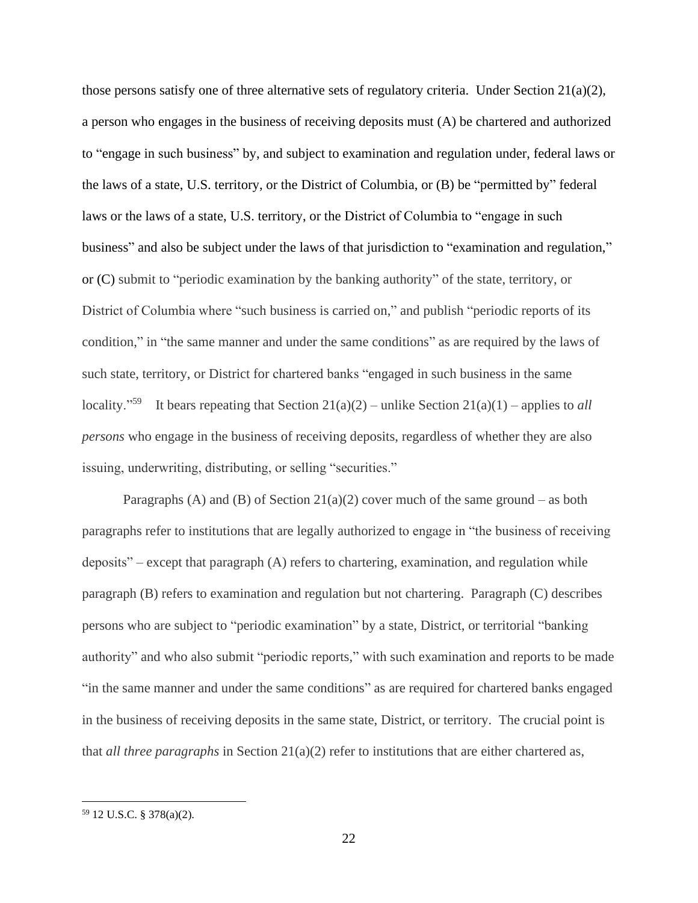those persons satisfy one of three alternative sets of regulatory criteria. Under Section 21(a)(2), a person who engages in the business of receiving deposits must (A) be chartered and authorized to "engage in such business" by, and subject to examination and regulation under, federal laws or the laws of a state, U.S. territory, or the District of Columbia, or (B) be "permitted by" federal laws or the laws of a state, U.S. territory, or the District of Columbia to "engage in such business" and also be subject under the laws of that jurisdiction to "examination and regulation," or (C) submit to "periodic examination by the banking authority" of the state, territory, or District of Columbia where "such business is carried on," and publish "periodic reports of its condition," in "the same manner and under the same conditions" as are required by the laws of such state, territory, or District for chartered banks "engaged in such business in the same locality."<sup>59</sup> It bears repeating that Section  $21(a)(2)$  – unlike Section  $21(a)(1)$  – applies to *all persons* who engage in the business of receiving deposits, regardless of whether they are also issuing, underwriting, distributing, or selling "securities."

Paragraphs (A) and (B) of Section  $21(a)(2)$  cover much of the same ground – as both paragraphs refer to institutions that are legally authorized to engage in "the business of receiving deposits" – except that paragraph (A) refers to chartering, examination, and regulation while paragraph (B) refers to examination and regulation but not chartering. Paragraph (C) describes persons who are subject to "periodic examination" by a state, District, or territorial "banking authority" and who also submit "periodic reports," with such examination and reports to be made "in the same manner and under the same conditions" as are required for chartered banks engaged in the business of receiving deposits in the same state, District, or territory. The crucial point is that *all three paragraphs* in Section 21(a)(2) refer to institutions that are either chartered as,

<sup>59</sup> 12 U.S.C. § 378(a)(2).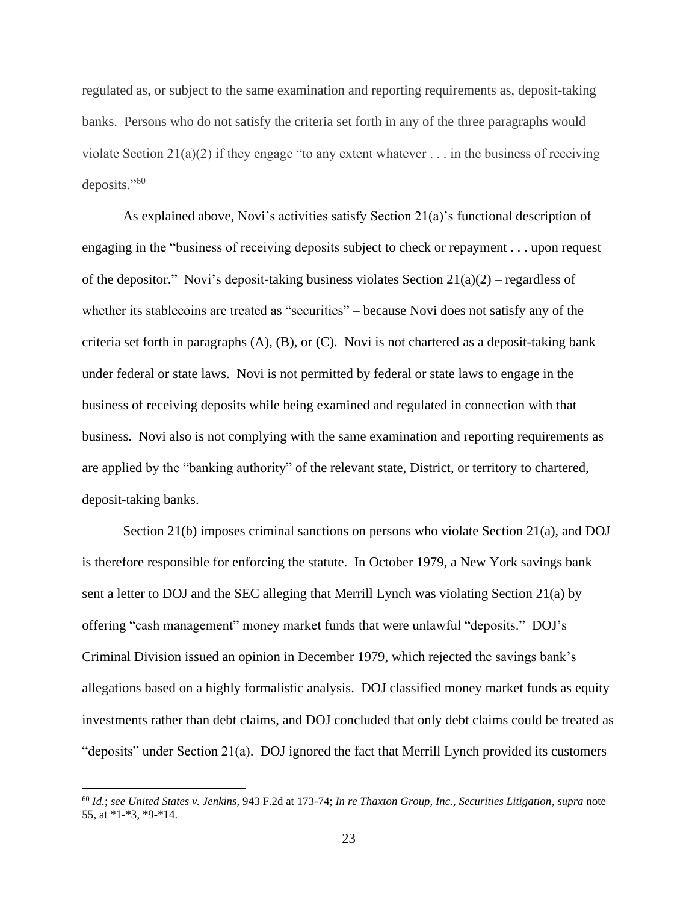regulated as, or subject to the same examination and reporting requirements as, deposit-taking banks. Persons who do not satisfy the criteria set forth in any of the three paragraphs would violate Section 21(a)(2) if they engage "to any extent whatever  $\dots$  in the business of receiving deposits." 60

As explained above, Novi's activities satisfy Section 21(a)'s functional description of engaging in the "business of receiving deposits subject to check or repayment . . . upon request of the depositor." Novi's deposit-taking business violates Section  $21(a)(2)$  – regardless of whether its stablecoins are treated as "securities" – because Novi does not satisfy any of the criteria set forth in paragraphs (A), (B), or (C). Novi is not chartered as a deposit-taking bank under federal or state laws. Novi is not permitted by federal or state laws to engage in the business of receiving deposits while being examined and regulated in connection with that business. Novi also is not complying with the same examination and reporting requirements as are applied by the "banking authority" of the relevant state, District, or territory to chartered, deposit-taking banks.

Section 21(b) imposes criminal sanctions on persons who violate Section 21(a), and DOJ is therefore responsible for enforcing the statute. In October 1979, a New York savings bank sent a letter to DOJ and the SEC alleging that Merrill Lynch was violating Section 21(a) by offering "cash management" money market funds that were unlawful "deposits." DOJ's Criminal Division issued an opinion in December 1979, which rejected the savings bank's allegations based on a highly formalistic analysis. DOJ classified money market funds as equity investments rather than debt claims, and DOJ concluded that only debt claims could be treated as "deposits" under Section 21(a). DOJ ignored the fact that Merrill Lynch provided its customers

<sup>60</sup> *Id.*; *see United States v. Jenkins*, 943 F.2d at 173-74; *In re Thaxton Group, Inc., Securities Litigation*, *supra* note 55, at \*1-\*3, \*9-\*14.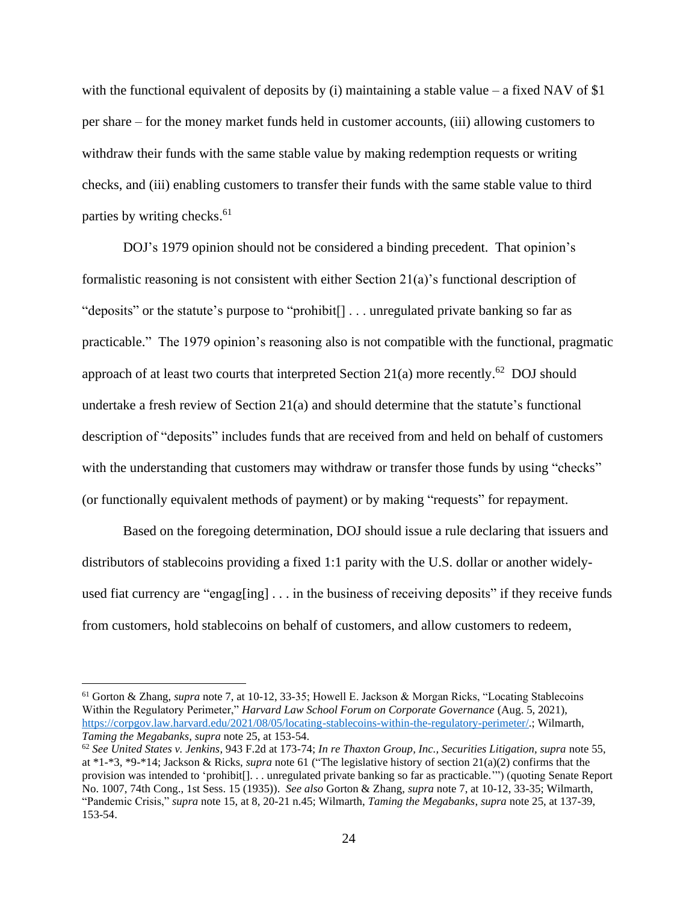with the functional equivalent of deposits by (i) maintaining a stable value – a fixed NAV of \$1 per share – for the money market funds held in customer accounts, (iii) allowing customers to withdraw their funds with the same stable value by making redemption requests or writing checks, and (iii) enabling customers to transfer their funds with the same stable value to third parties by writing checks. 61

DOJ's 1979 opinion should not be considered a binding precedent. That opinion's formalistic reasoning is not consistent with either Section 21(a)'s functional description of "deposits" or the statute's purpose to "prohibit[] . . . unregulated private banking so far as practicable." The 1979 opinion's reasoning also is not compatible with the functional, pragmatic approach of at least two courts that interpreted Section  $21(a)$  more recently.<sup>62</sup> DOJ should undertake a fresh review of Section 21(a) and should determine that the statute's functional description of "deposits" includes funds that are received from and held on behalf of customers with the understanding that customers may withdraw or transfer those funds by using "checks" (or functionally equivalent methods of payment) or by making "requests" for repayment.

Based on the foregoing determination, DOJ should issue a rule declaring that issuers and distributors of stablecoins providing a fixed 1:1 parity with the U.S. dollar or another widelyused fiat currency are "engag[ing] . . . in the business of receiving deposits" if they receive funds from customers, hold stablecoins on behalf of customers, and allow customers to redeem,

<sup>61</sup> Gorton & Zhang, *supra* note 7, at 10-12, 33-35; Howell E. Jackson & Morgan Ricks, "Locating Stablecoins Within the Regulatory Perimeter," *Harvard Law School Forum on Corporate Governance* (Aug. 5, 2021), [https://corpgov.law.harvard.edu/2021/08/05/locating-stablecoins-within-the-regulatory-perimeter/.](https://corpgov.law.harvard.edu/2021/08/05/locating-stablecoins-within-the-regulatory-perimeter/); Wilmarth, *Taming the Megabanks*, *supra* note 25, at 153-54.

<sup>62</sup> *See United States v. Jenkins*, 943 F.2d at 173-74; *In re Thaxton Group, Inc., Securities Litigation, supra* note 55, at \*1-\*3, \*9-\*14; Jackson & Ricks, *supra* note 61 ("The legislative history of section 21(a)(2) confirms that the provision was intended to 'prohibit[]. . . unregulated private banking so far as practicable.'") (quoting Senate Report No. 1007, 74th Cong., 1st Sess. 15 (1935)). *See also* Gorton & Zhang, *supra* note 7, at 10-12, 33-35; Wilmarth, "Pandemic Crisis," *supra* note 15, at 8, 20-21 n.45; Wilmarth, *Taming the Megabanks*, *supra* note 25, at 137-39, 153-54.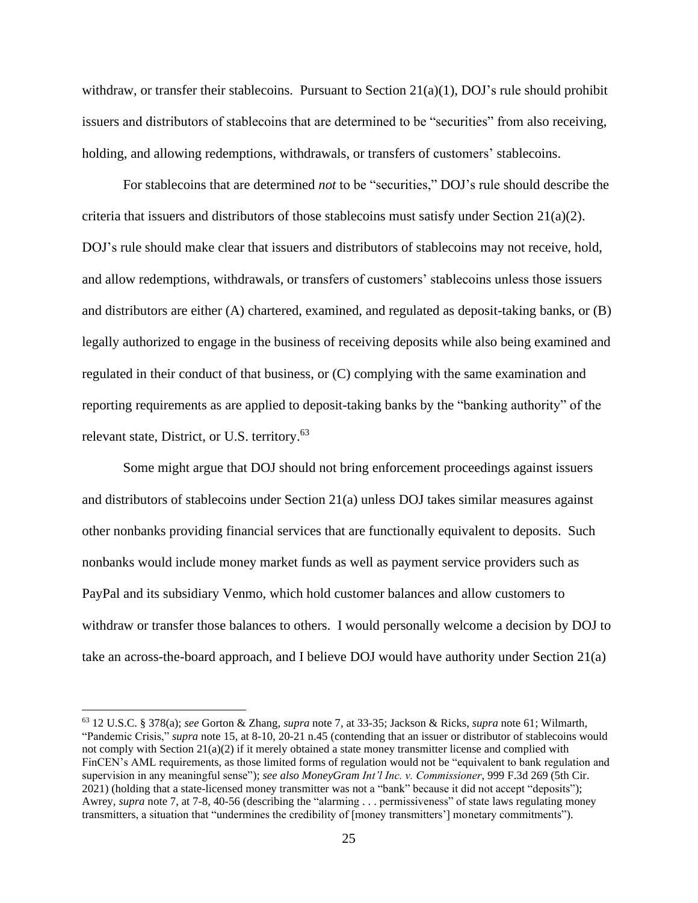withdraw, or transfer their stablecoins. Pursuant to Section  $21(a)(1)$ , DOJ's rule should prohibit issuers and distributors of stablecoins that are determined to be "securities" from also receiving, holding, and allowing redemptions, withdrawals, or transfers of customers' stablecoins.

For stablecoins that are determined *not* to be "securities," DOJ's rule should describe the criteria that issuers and distributors of those stablecoins must satisfy under Section  $21(a)(2)$ . DOJ's rule should make clear that issuers and distributors of stablecoins may not receive, hold, and allow redemptions, withdrawals, or transfers of customers' stablecoins unless those issuers and distributors are either (A) chartered, examined, and regulated as deposit-taking banks, or (B) legally authorized to engage in the business of receiving deposits while also being examined and regulated in their conduct of that business, or (C) complying with the same examination and reporting requirements as are applied to deposit-taking banks by the "banking authority" of the relevant state, District, or U.S. territory.<sup>63</sup>

Some might argue that DOJ should not bring enforcement proceedings against issuers and distributors of stablecoins under Section 21(a) unless DOJ takes similar measures against other nonbanks providing financial services that are functionally equivalent to deposits. Such nonbanks would include money market funds as well as payment service providers such as PayPal and its subsidiary Venmo, which hold customer balances and allow customers to withdraw or transfer those balances to others. I would personally welcome a decision by DOJ to take an across-the-board approach, and I believe DOJ would have authority under Section 21(a)

<sup>63</sup> 12 U.S.C. § 378(a); *see* Gorton & Zhang, *supra* note 7, at 33-35; Jackson & Ricks, *supra* note 61; Wilmarth, "Pandemic Crisis," *supra* note 15, at 8-10, 20-21 n.45 (contending that an issuer or distributor of stablecoins would not comply with Section 21(a)(2) if it merely obtained a state money transmitter license and complied with FinCEN's AML requirements, as those limited forms of regulation would not be "equivalent to bank regulation and supervision in any meaningful sense"); *see also MoneyGram Int'l Inc. v. Commissioner*, 999 F.3d 269 (5th Cir. 2021) (holding that a state-licensed money transmitter was not a "bank" because it did not accept "deposits"); Awrey, *supra* note 7, at 7-8, 40-56 (describing the "alarming . . . permissiveness" of state laws regulating money transmitters, a situation that "undermines the credibility of [money transmitters'] monetary commitments").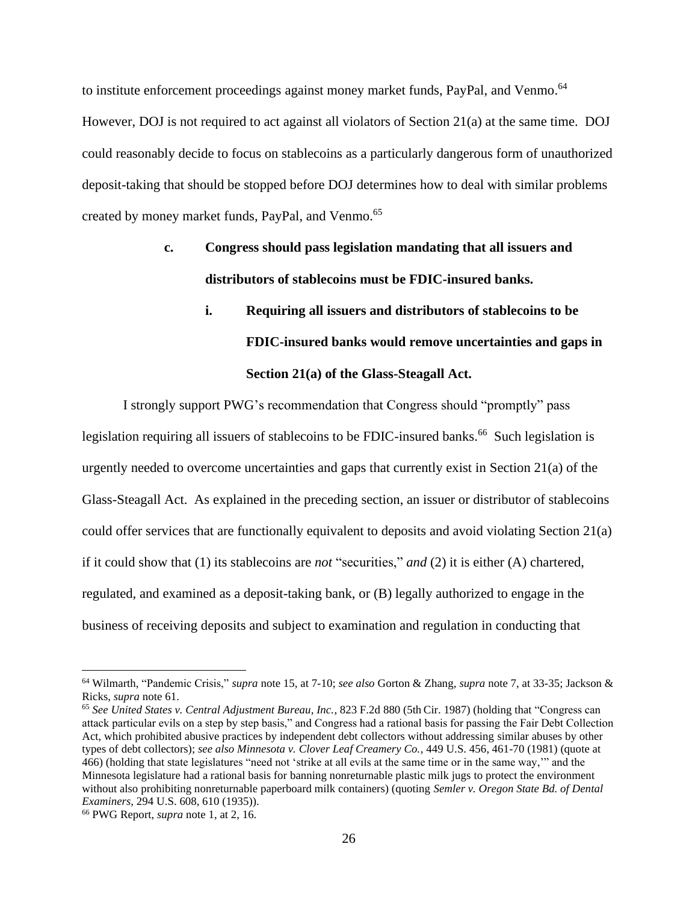to institute enforcement proceedings against money market funds, PayPal, and Venmo.<sup>64</sup> However, DOJ is not required to act against all violators of Section 21(a) at the same time. DOJ could reasonably decide to focus on stablecoins as a particularly dangerous form of unauthorized deposit-taking that should be stopped before DOJ determines how to deal with similar problems created by money market funds, PayPal, and Venmo. 65

## **c. Congress should pass legislation mandating that all issuers and distributors of stablecoins must be FDIC-insured banks.**

## **i. Requiring all issuers and distributors of stablecoins to be FDIC-insured banks would remove uncertainties and gaps in Section 21(a) of the Glass-Steagall Act.**

I strongly support PWG's recommendation that Congress should "promptly" pass legislation requiring all issuers of stablecoins to be FDIC-insured banks.<sup>66</sup> Such legislation is urgently needed to overcome uncertainties and gaps that currently exist in Section  $21(a)$  of the Glass-Steagall Act. As explained in the preceding section, an issuer or distributor of stablecoins could offer services that are functionally equivalent to deposits and avoid violating Section 21(a) if it could show that (1) its stablecoins are *not* "securities," *and* (2) it is either (A) chartered, regulated, and examined as a deposit-taking bank, or (B) legally authorized to engage in the business of receiving deposits and subject to examination and regulation in conducting that

<sup>64</sup> Wilmarth, "Pandemic Crisis," *supra* note 15, at 7-10; *see also* Gorton & Zhang, *supra* note 7, at 33-35; Jackson & Ricks, *supra* note 61.

<sup>65</sup> *See United States v. Central Adjustment Bureau, Inc.*, 823 F.2d 880 (5th Cir. 1987) (holding that "Congress can attack particular evils on a step by step basis," and Congress had a rational basis for passing the Fair Debt Collection Act, which prohibited abusive practices by independent debt collectors without addressing similar abuses by other types of debt collectors); *see also Minnesota v. Clover Leaf Creamery Co.*, 449 U.S. 456, 461-70 (1981) (quote at 466) (holding that state legislatures "need not 'strike at all evils at the same time or in the same way,'" and the Minnesota legislature had a rational basis for banning nonreturnable plastic milk jugs to protect the environment without also prohibiting nonreturnable paperboard milk containers) (quoting *Semler v. Oregon State Bd. of Dental Examiners*, 294 U.S. 608, 610 (1935)).

<sup>66</sup> PWG Report, *supra* note 1, at 2, 16.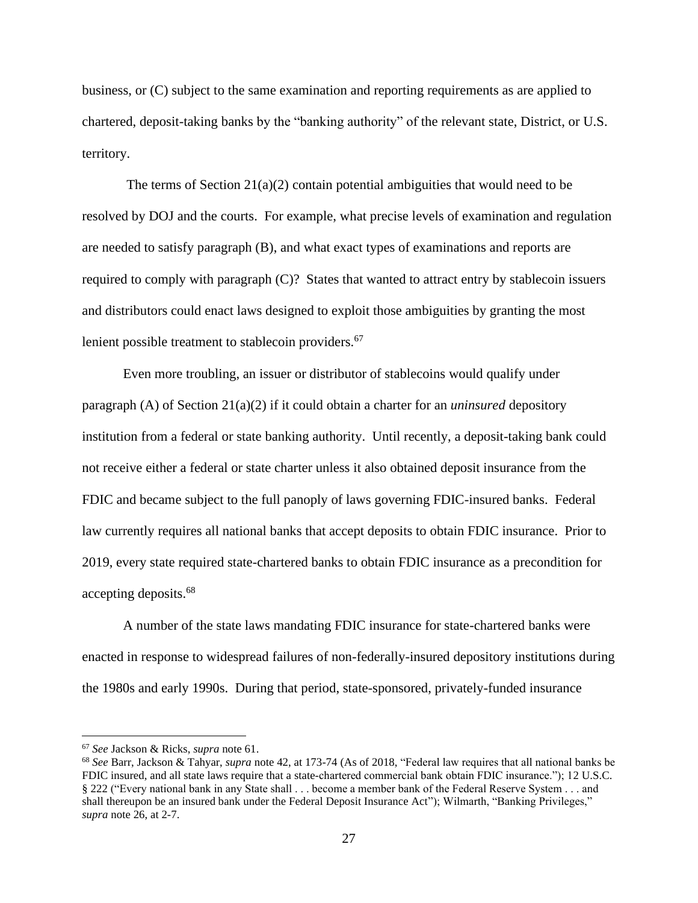business, or (C) subject to the same examination and reporting requirements as are applied to chartered, deposit-taking banks by the "banking authority" of the relevant state, District, or U.S. territory.

The terms of Section  $21(a)(2)$  contain potential ambiguities that would need to be resolved by DOJ and the courts. For example, what precise levels of examination and regulation are needed to satisfy paragraph (B), and what exact types of examinations and reports are required to comply with paragraph (C)? States that wanted to attract entry by stablecoin issuers and distributors could enact laws designed to exploit those ambiguities by granting the most lenient possible treatment to stablecoin providers.<sup>67</sup>

Even more troubling, an issuer or distributor of stablecoins would qualify under paragraph (A) of Section 21(a)(2) if it could obtain a charter for an *uninsured* depository institution from a federal or state banking authority. Until recently, a deposit-taking bank could not receive either a federal or state charter unless it also obtained deposit insurance from the FDIC and became subject to the full panoply of laws governing FDIC-insured banks. Federal law currently requires all national banks that accept deposits to obtain FDIC insurance. Prior to 2019, every state required state-chartered banks to obtain FDIC insurance as a precondition for accepting deposits. 68

A number of the state laws mandating FDIC insurance for state-chartered banks were enacted in response to widespread failures of non-federally-insured depository institutions during the 1980s and early 1990s. During that period, state-sponsored, privately-funded insurance

<sup>67</sup> *See* Jackson & Ricks, *supra* note 61.

<sup>68</sup> *See* Barr, Jackson & Tahyar, *supra* note 42, at 173-74 (As of 2018, "Federal law requires that all national banks be FDIC insured, and all state laws require that a state-chartered commercial bank obtain FDIC insurance."); 12 U.S.C. § 222 ("Every national bank in any State shall . . . become a member bank of the Federal Reserve System . . . and shall thereupon be an insured bank under the Federal Deposit Insurance Act"); Wilmarth, "Banking Privileges," *supra* note 26, at 2-7.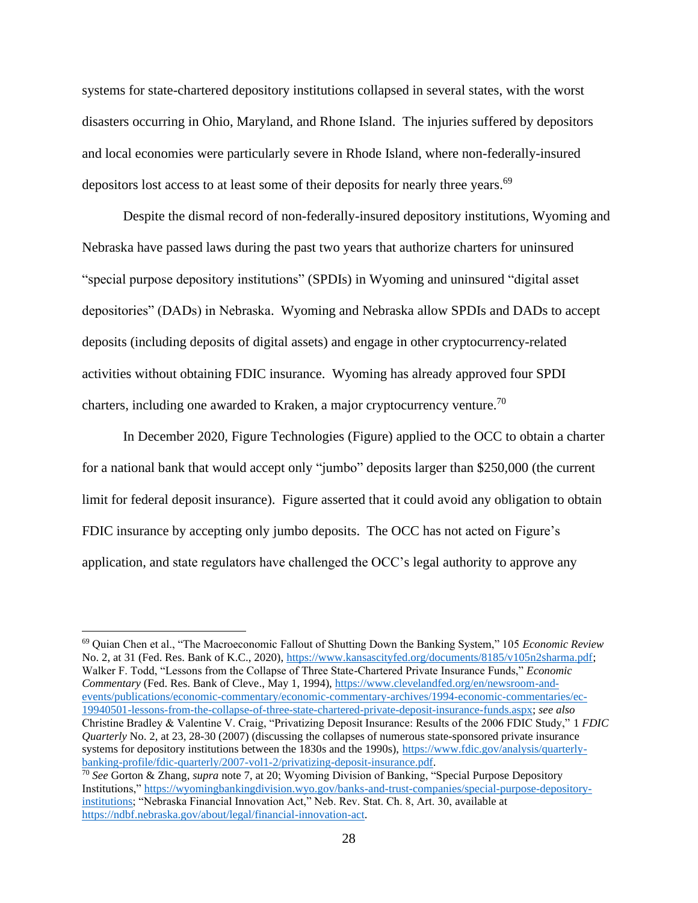systems for state-chartered depository institutions collapsed in several states, with the worst disasters occurring in Ohio, Maryland, and Rhone Island. The injuries suffered by depositors and local economies were particularly severe in Rhode Island, where non-federally-insured depositors lost access to at least some of their deposits for nearly three years.<sup>69</sup>

Despite the dismal record of non-federally-insured depository institutions, Wyoming and Nebraska have passed laws during the past two years that authorize charters for uninsured "special purpose depository institutions" (SPDIs) in Wyoming and uninsured "digital asset depositories" (DADs) in Nebraska. Wyoming and Nebraska allow SPDIs and DADs to accept deposits (including deposits of digital assets) and engage in other cryptocurrency-related activities without obtaining FDIC insurance. Wyoming has already approved four SPDI charters, including one awarded to Kraken, a major cryptocurrency venture.<sup>70</sup>

In December 2020, Figure Technologies (Figure) applied to the OCC to obtain a charter for a national bank that would accept only "jumbo" deposits larger than \$250,000 (the current limit for federal deposit insurance). Figure asserted that it could avoid any obligation to obtain FDIC insurance by accepting only jumbo deposits. The OCC has not acted on Figure's application, and state regulators have challenged the OCC's legal authority to approve any

<sup>69</sup> Quian Chen et al., "The Macroeconomic Fallout of Shutting Down the Banking System," 105 *Economic Review*  No. 2, at 31 (Fed. Res. Bank of K.C., 2020), [https://www.kansascityfed.org/documents/8185/v105n2sharma.pdf;](https://www.kansascityfed.org/documents/8185/v105n2sharma.pdf) Walker F. Todd, "Lessons from the Collapse of Three State-Chartered Private Insurance Funds," *Economic Commentary* (Fed. Res. Bank of Cleve., May 1, 1994), [https://www.clevelandfed.org/en/newsroom-and](https://www.clevelandfed.org/en/newsroom-and-events/publications/economic-commentary/economic-commentary-archives/1994-economic-commentaries/ec-19940501-lessons-from-the-collapse-of-three-state-chartered-private-deposit-insurance-funds.aspx)[events/publications/economic-commentary/economic-commentary-archives/1994-economic-commentaries/ec-](https://www.clevelandfed.org/en/newsroom-and-events/publications/economic-commentary/economic-commentary-archives/1994-economic-commentaries/ec-19940501-lessons-from-the-collapse-of-three-state-chartered-private-deposit-insurance-funds.aspx)[19940501-lessons-from-the-collapse-of-three-state-chartered-private-deposit-insurance-funds.aspx;](https://www.clevelandfed.org/en/newsroom-and-events/publications/economic-commentary/economic-commentary-archives/1994-economic-commentaries/ec-19940501-lessons-from-the-collapse-of-three-state-chartered-private-deposit-insurance-funds.aspx) *see also*  Christine Bradley & Valentine V. Craig, "Privatizing Deposit Insurance: Results of the 2006 FDIC Study," 1 *FDIC Quarterly* No. 2, at 23, 28-30 (2007) (discussing the collapses of numerous state-sponsored private insurance systems for depository institutions between the 1830s and the 1990s), [https://www.fdic.gov/analysis/quarterly](https://www.fdic.gov/analysis/quarterly-banking-profile/fdic-quarterly/2007-vol1-2/privatizing-deposit-insurance.pdf)[banking-profile/fdic-quarterly/2007-vol1-2/privatizing-deposit-insurance.pdf.](https://www.fdic.gov/analysis/quarterly-banking-profile/fdic-quarterly/2007-vol1-2/privatizing-deposit-insurance.pdf)

<sup>70</sup> *See* Gorton & Zhang, *supra* note 7, at 20; Wyoming Division of Banking, "Special Purpose Depository Institutions," [https://wyomingbankingdivision.wyo.gov/banks-and-trust-companies/special-purpose-depository](https://wyomingbankingdivision.wyo.gov/banks-and-trust-companies/special-purpose-depository-institutions)[institutions;](https://wyomingbankingdivision.wyo.gov/banks-and-trust-companies/special-purpose-depository-institutions) "Nebraska Financial Innovation Act," Neb. Rev. Stat. Ch. 8, Art. 30, available at [https://ndbf.nebraska.gov/about/legal/financial-innovation-act.](https://ndbf.nebraska.gov/about/legal/financial-innovation-act)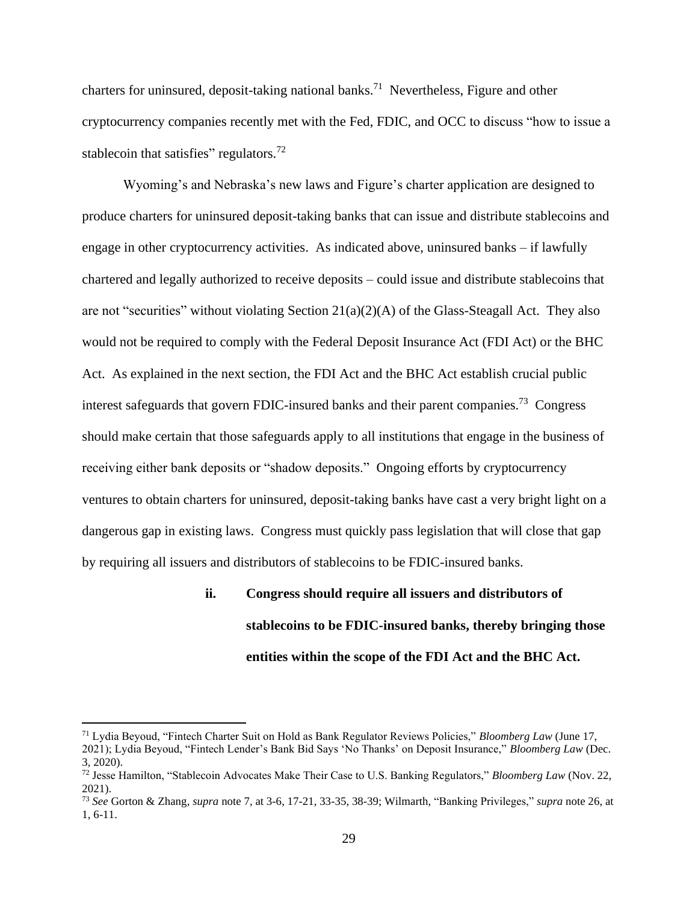charters for uninsured, deposit-taking national banks. 71 Nevertheless, Figure and other cryptocurrency companies recently met with the Fed, FDIC, and OCC to discuss "how to issue a stablecoin that satisfies" regulators. $72$ 

Wyoming's and Nebraska's new laws and Figure's charter application are designed to produce charters for uninsured deposit-taking banks that can issue and distribute stablecoins and engage in other cryptocurrency activities. As indicated above, uninsured banks – if lawfully chartered and legally authorized to receive deposits – could issue and distribute stablecoins that are not "securities" without violating Section  $21(a)(2)(A)$  of the Glass-Steagall Act. They also would not be required to comply with the Federal Deposit Insurance Act (FDI Act) or the BHC Act. As explained in the next section, the FDI Act and the BHC Act establish crucial public interest safeguards that govern FDIC-insured banks and their parent companies.<sup>73</sup> Congress should make certain that those safeguards apply to all institutions that engage in the business of receiving either bank deposits or "shadow deposits." Ongoing efforts by cryptocurrency ventures to obtain charters for uninsured, deposit-taking banks have cast a very bright light on a dangerous gap in existing laws. Congress must quickly pass legislation that will close that gap by requiring all issuers and distributors of stablecoins to be FDIC-insured banks.

# **ii. Congress should require all issuers and distributors of stablecoins to be FDIC-insured banks, thereby bringing those entities within the scope of the FDI Act and the BHC Act.**

<sup>71</sup> Lydia Beyoud, "Fintech Charter Suit on Hold as Bank Regulator Reviews Policies," *Bloomberg Law* (June 17, 2021); Lydia Beyoud, "Fintech Lender's Bank Bid Says 'No Thanks' on Deposit Insurance," *Bloomberg Law* (Dec.

<sup>3, 2020).</sup>

<sup>72</sup> Jesse Hamilton, "Stablecoin Advocates Make Their Case to U.S. Banking Regulators," *Bloomberg Law* (Nov. 22, 2021).

<sup>73</sup> *See* Gorton & Zhang, *supra* note 7, at 3-6, 17-21, 33-35, 38-39; Wilmarth, "Banking Privileges," *supra* note 26, at 1, 6-11.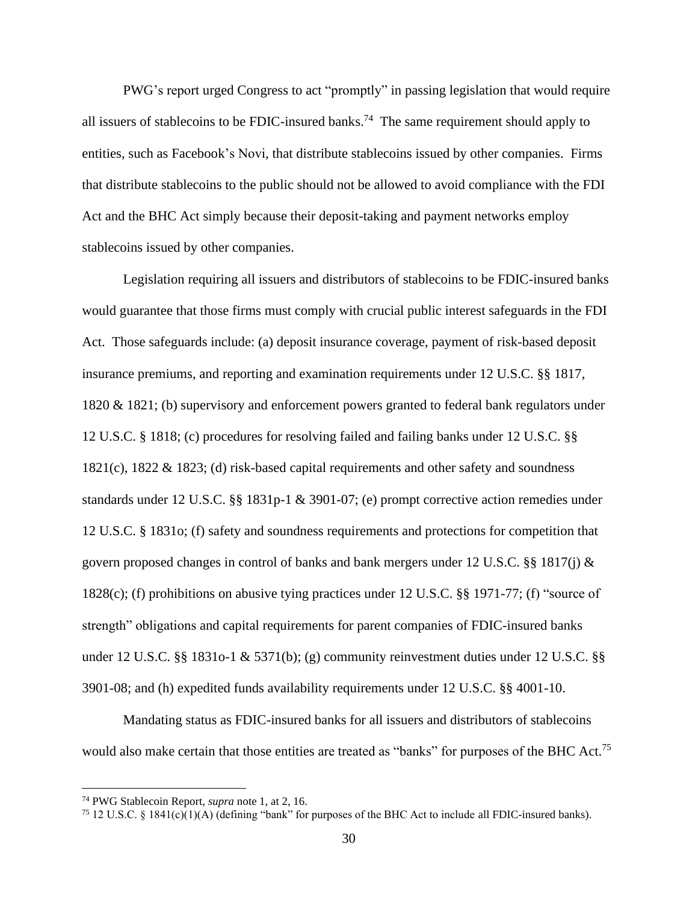PWG's report urged Congress to act "promptly" in passing legislation that would require all issuers of stablecoins to be FDIC-insured banks.<sup>74</sup> The same requirement should apply to entities, such as Facebook's Novi, that distribute stablecoins issued by other companies. Firms that distribute stablecoins to the public should not be allowed to avoid compliance with the FDI Act and the BHC Act simply because their deposit-taking and payment networks employ stablecoins issued by other companies.

Legislation requiring all issuers and distributors of stablecoins to be FDIC-insured banks would guarantee that those firms must comply with crucial public interest safeguards in the FDI Act. Those safeguards include: (a) deposit insurance coverage, payment of risk-based deposit insurance premiums, and reporting and examination requirements under 12 U.S.C. §§ 1817, 1820 & 1821; (b) supervisory and enforcement powers granted to federal bank regulators under 12 U.S.C. § 1818; (c) procedures for resolving failed and failing banks under 12 U.S.C. §§ 1821(c), 1822 & 1823; (d) risk-based capital requirements and other safety and soundness standards under 12 U.S.C. §§ 1831p-1 & 3901-07; (e) prompt corrective action remedies under 12 U.S.C. § 1831o; (f) safety and soundness requirements and protections for competition that govern proposed changes in control of banks and bank mergers under 12 U.S.C. §§ 1817(j)  $\&$ 1828(c); (f) prohibitions on abusive tying practices under 12 U.S.C. §§ 1971-77; (f) "source of strength" obligations and capital requirements for parent companies of FDIC-insured banks under 12 U.S.C. §§ 1831o-1 & 5371(b); (g) community reinvestment duties under 12 U.S.C. §§ 3901-08; and (h) expedited funds availability requirements under 12 U.S.C. §§ 4001-10.

Mandating status as FDIC-insured banks for all issuers and distributors of stablecoins would also make certain that those entities are treated as "banks" for purposes of the BHC Act.<sup>75</sup>

<sup>74</sup> PWG Stablecoin Report, *supra* note 1, at 2, 16.

<sup>&</sup>lt;sup>75</sup> 12 U.S.C. § 1841(c)(1)(A) (defining "bank" for purposes of the BHC Act to include all FDIC-insured banks).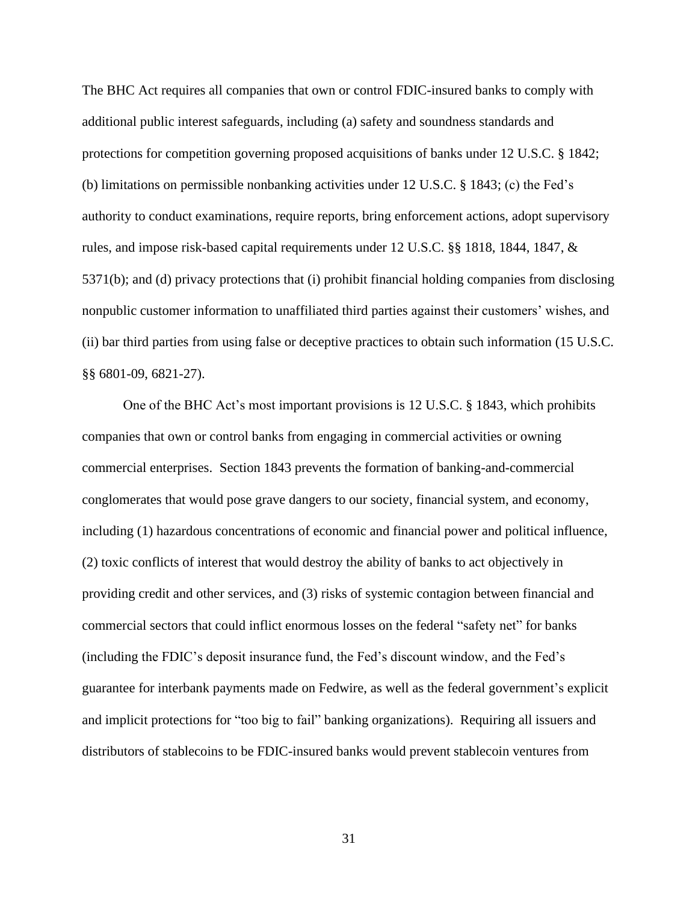The BHC Act requires all companies that own or control FDIC-insured banks to comply with additional public interest safeguards, including (a) safety and soundness standards and protections for competition governing proposed acquisitions of banks under 12 U.S.C. § 1842; (b) limitations on permissible nonbanking activities under 12 U.S.C. § 1843; (c) the Fed's authority to conduct examinations, require reports, bring enforcement actions, adopt supervisory rules, and impose risk-based capital requirements under 12 U.S.C. §§ 1818, 1844, 1847, & 5371(b); and (d) privacy protections that (i) prohibit financial holding companies from disclosing nonpublic customer information to unaffiliated third parties against their customers' wishes, and (ii) bar third parties from using false or deceptive practices to obtain such information (15 U.S.C. §§ 6801-09, 6821-27).

One of the BHC Act's most important provisions is 12 U.S.C. § 1843, which prohibits companies that own or control banks from engaging in commercial activities or owning commercial enterprises. Section 1843 prevents the formation of banking-and-commercial conglomerates that would pose grave dangers to our society, financial system, and economy, including (1) hazardous concentrations of economic and financial power and political influence, (2) toxic conflicts of interest that would destroy the ability of banks to act objectively in providing credit and other services, and (3) risks of systemic contagion between financial and commercial sectors that could inflict enormous losses on the federal "safety net" for banks (including the FDIC's deposit insurance fund, the Fed's discount window, and the Fed's guarantee for interbank payments made on Fedwire, as well as the federal government's explicit and implicit protections for "too big to fail" banking organizations). Requiring all issuers and distributors of stablecoins to be FDIC-insured banks would prevent stablecoin ventures from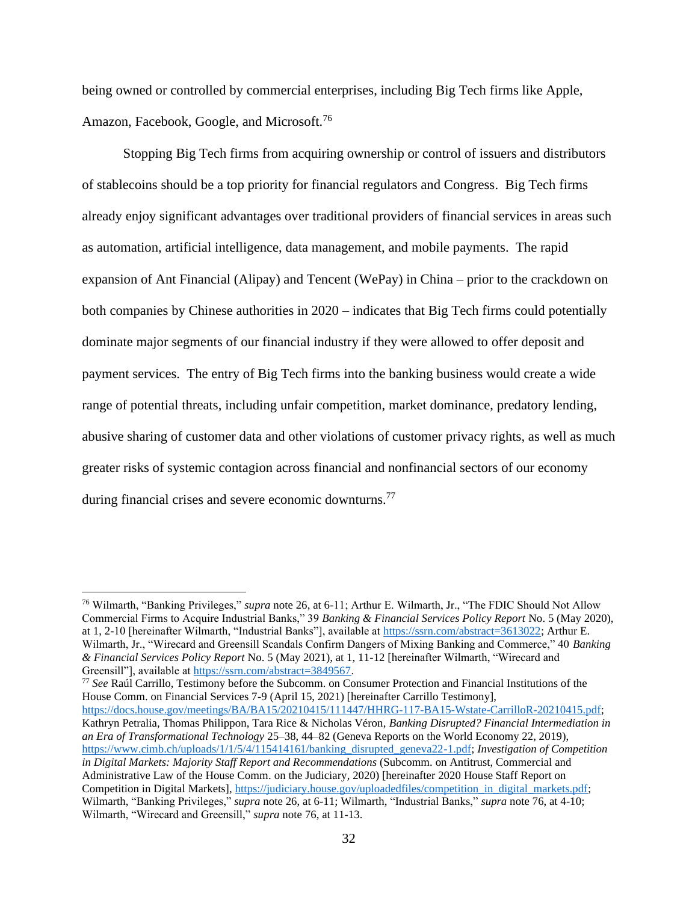being owned or controlled by commercial enterprises, including Big Tech firms like Apple, Amazon, Facebook, Google, and Microsoft.<sup>76</sup>

Stopping Big Tech firms from acquiring ownership or control of issuers and distributors of stablecoins should be a top priority for financial regulators and Congress. Big Tech firms already enjoy significant advantages over traditional providers of financial services in areas such as automation, artificial intelligence, data management, and mobile payments. The rapid expansion of Ant Financial (Alipay) and Tencent (WePay) in China – prior to the crackdown on both companies by Chinese authorities in 2020 – indicates that Big Tech firms could potentially dominate major segments of our financial industry if they were allowed to offer deposit and payment services. The entry of Big Tech firms into the banking business would create a wide range of potential threats, including unfair competition, market dominance, predatory lending, abusive sharing of customer data and other violations of customer privacy rights, as well as much greater risks of systemic contagion across financial and nonfinancial sectors of our economy during financial crises and severe economic downturns.<sup>77</sup>

<sup>77</sup> *See* Raúl Carrillo, Testimony before the Subcomm. on Consumer Protection and Financial Institutions of the House Comm. on Financial Services 7-9 (April 15, 2021) [hereinafter Carrillo Testimony], [https://docs.house.gov/meetings/BA/BA15/20210415/111447/HHRG-117-BA15-Wstate-CarrilloR-20210415.pdf;](https://docs.house.gov/meetings/BA/BA15/20210415/111447/HHRG-117-BA15-Wstate-CarrilloR-20210415.pdf) Kathryn Petralia, Thomas Philippon, Tara Rice & Nicholas Véron, *Banking Disrupted? Financial Intermediation in an Era of Transformational Technology* 25–38, 44–82 (Geneva Reports on the World Economy 22, 2019), [https://www.cimb.ch/uploads/1/1/5/4/115414161/banking\\_disrupted\\_geneva22-1.pdf;](https://www.cimb.ch/uploads/1/1/5/4/115414161/banking_disrupted_geneva22-1.pdf) *Investigation of Competition in Digital Markets: Majority Staff Report and Recommendations* (Subcomm. on Antitrust, Commercial and Administrative Law of the House Comm. on the Judiciary, 2020) [hereinafter 2020 House Staff Report on Competition in Digital Markets], [https://judiciary.house.gov/uploadedfiles/competition\\_in\\_digital\\_markets.pdf;](https://judiciary.house.gov/uploadedfiles/competition_in_digital_markets.pdf?utm_campaign=4493-519) Wilmarth, "Banking Privileges," *supra* note 26, at 6-11; Wilmarth, "Industrial Banks," *supra* note 76, at 4-10; Wilmarth, "Wirecard and Greensill," *supra* note 76, at 11-13.

<sup>76</sup> Wilmarth, "Banking Privileges," *supra* note 26, at 6-11; Arthur E. Wilmarth, Jr., "The FDIC Should Not Allow Commercial Firms to Acquire Industrial Banks," 39 *Banking & Financial Services Policy Report* No. 5 (May 2020), at 1, 2-10 [hereinafter Wilmarth, "Industrial Banks"], available at [https://ssrn.com/abstract=3613022;](https://ssrn.com/abstract=3613022) Arthur E. Wilmarth, Jr., "Wirecard and Greensill Scandals Confirm Dangers of Mixing Banking and Commerce," 40 *Banking & Financial Services Policy Report* No. 5 (May 2021), at 1, 11-12 [hereinafter Wilmarth, "Wirecard and Greensill"], available a[t https://ssrn.com/abstract=3849567.](https://ssrn.com/abstract=3849567)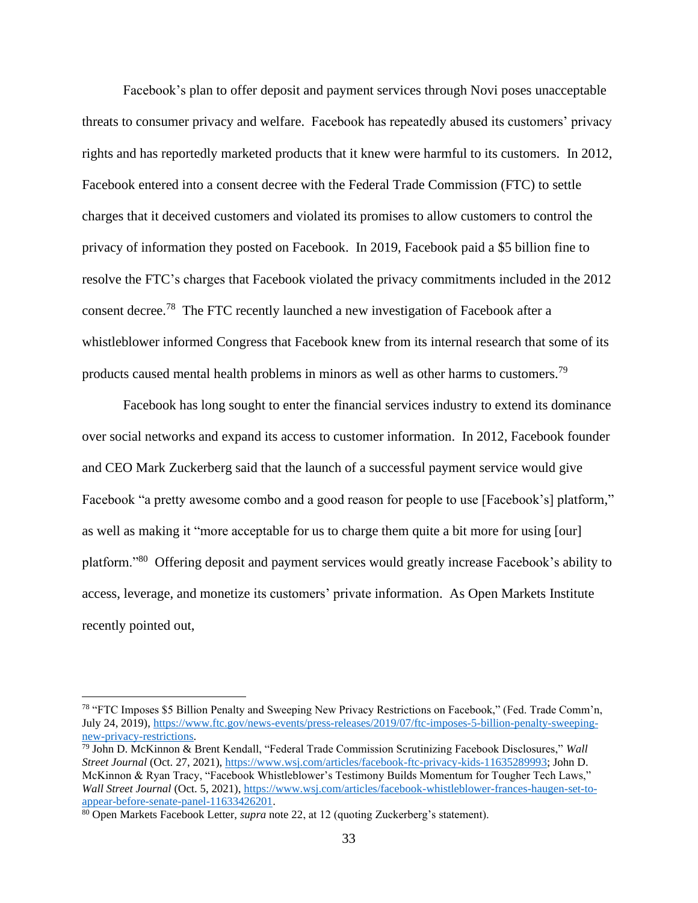Facebook's plan to offer deposit and payment services through Novi poses unacceptable threats to consumer privacy and welfare. Facebook has repeatedly abused its customers' privacy rights and has reportedly marketed products that it knew were harmful to its customers. In 2012, Facebook entered into a consent decree with the Federal Trade Commission (FTC) to settle charges that it deceived customers and violated its promises to allow customers to control the privacy of information they posted on Facebook. In 2019, Facebook paid a \$5 billion fine to resolve the FTC's charges that Facebook violated the privacy commitments included in the 2012 consent decree.<sup>78</sup> The FTC recently launched a new investigation of Facebook after a whistleblower informed Congress that Facebook knew from its internal research that some of its products caused mental health problems in minors as well as other harms to customers.<sup>79</sup>

Facebook has long sought to enter the financial services industry to extend its dominance over social networks and expand its access to customer information. In 2012, Facebook founder and CEO Mark Zuckerberg said that the launch of a successful payment service would give Facebook "a pretty awesome combo and a good reason for people to use [Facebook's] platform," as well as making it "more acceptable for us to charge them quite a bit more for using [our] platform."<sup>80</sup> Offering deposit and payment services would greatly increase Facebook's ability to access, leverage, and monetize its customers' private information. As Open Markets Institute recently pointed out,

<sup>78</sup> "FTC Imposes \$5 Billion Penalty and Sweeping New Privacy Restrictions on Facebook," (Fed. Trade Comm'n, July 24, 2019)[, https://www.ftc.gov/news-events/press-releases/2019/07/ftc-imposes-5-billion-penalty-sweeping](https://www.ftc.gov/news-events/press-releases/2019/07/ftc-imposes-5-billion-penalty-sweeping-new-privacy-restrictions)[new-privacy-restrictions.](https://www.ftc.gov/news-events/press-releases/2019/07/ftc-imposes-5-billion-penalty-sweeping-new-privacy-restrictions)

<sup>79</sup> John D. McKinnon & Brent Kendall, "Federal Trade Commission Scrutinizing Facebook Disclosures," *Wall Street Journal* (Oct. 27, 2021)[, https://www.wsj.com/articles/facebook-ftc-privacy-kids-11635289993;](https://www.wsj.com/articles/facebook-ftc-privacy-kids-11635289993) John D. McKinnon & Ryan Tracy, "Facebook Whistleblower's Testimony Builds Momentum for Tougher Tech Laws," *Wall Street Journal* (Oct. 5, 2021), [https://www.wsj.com/articles/facebook-whistleblower-frances-haugen-set-to](https://www.wsj.com/articles/facebook-whistleblower-frances-haugen-set-to-appear-before-senate-panel-11633426201)[appear-before-senate-panel-11633426201.](https://www.wsj.com/articles/facebook-whistleblower-frances-haugen-set-to-appear-before-senate-panel-11633426201)

<sup>80</sup> Open Markets Facebook Letter, *supra* note 22, at 12 (quoting Zuckerberg's statement).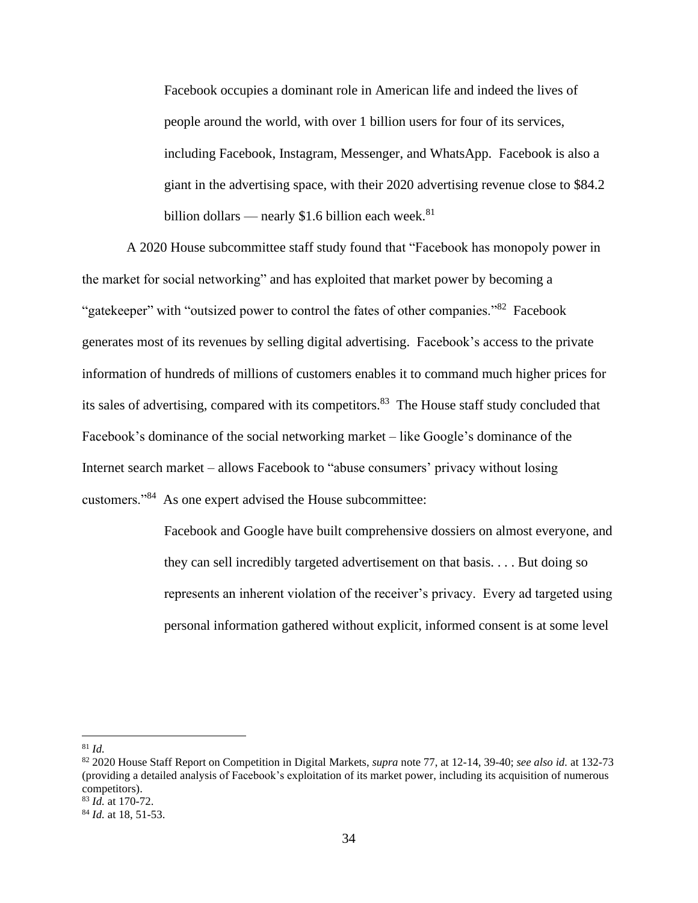Facebook occupies a dominant role in American life and indeed the lives of people around the world, with over 1 billion users for four of its services, including Facebook, Instagram, Messenger, and WhatsApp. Facebook is also a giant in the advertising space, with their 2020 advertising revenue close to \$84.2 billion dollars — nearly \$1.6 billion each week. $81$ 

A 2020 House subcommittee staff study found that "Facebook has monopoly power in the market for social networking" and has exploited that market power by becoming a "gatekeeper" with "outsized power to control the fates of other companies."<sup>82</sup> Facebook generates most of its revenues by selling digital advertising. Facebook's access to the private information of hundreds of millions of customers enables it to command much higher prices for its sales of advertising, compared with its competitors.<sup>83</sup> The House staff study concluded that Facebook's dominance of the social networking market – like Google's dominance of the Internet search market – allows Facebook to "abuse consumers' privacy without losing customers."<sup>84</sup> As one expert advised the House subcommittee:

> Facebook and Google have built comprehensive dossiers on almost everyone, and they can sell incredibly targeted advertisement on that basis. . . . But doing so represents an inherent violation of the receiver's privacy. Every ad targeted using personal information gathered without explicit, informed consent is at some level

<sup>81</sup> *Id.*

<sup>82</sup> 2020 House Staff Report on Competition in Digital Markets, *supra* note 77, at 12-14, 39-40; *see also id.* at 132-73 (providing a detailed analysis of Facebook's exploitation of its market power, including its acquisition of numerous competitors).

<sup>83</sup> *Id.* at 170-72.

<sup>84</sup> *Id.* at 18, 51-53.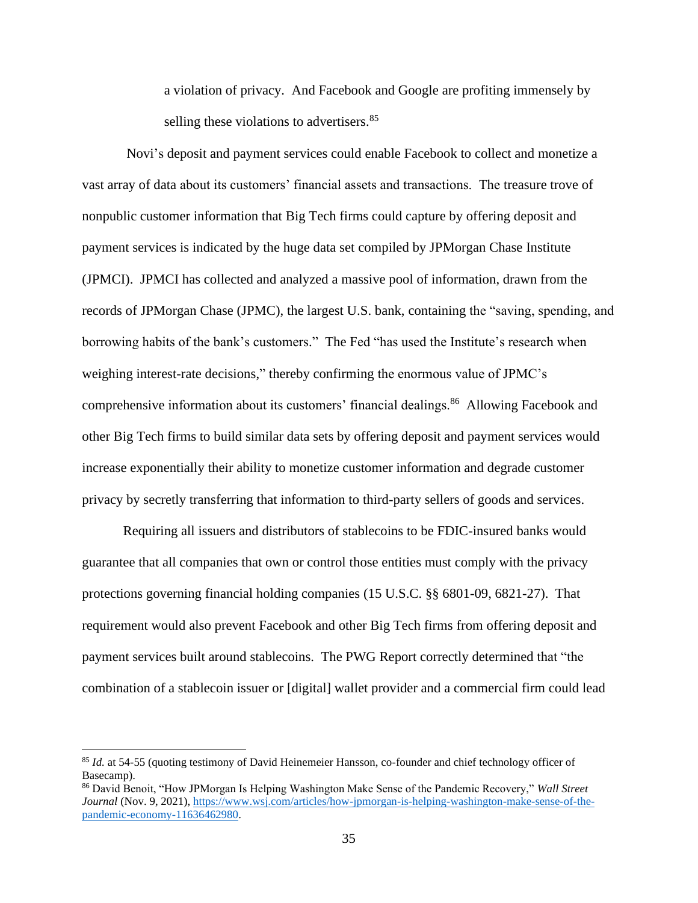a violation of privacy. And Facebook and Google are profiting immensely by selling these violations to advertisers.<sup>85</sup>

Novi's deposit and payment services could enable Facebook to collect and monetize a vast array of data about its customers' financial assets and transactions. The treasure trove of nonpublic customer information that Big Tech firms could capture by offering deposit and payment services is indicated by the huge data set compiled by JPMorgan Chase Institute (JPMCI). JPMCI has collected and analyzed a massive pool of information, drawn from the records of JPMorgan Chase (JPMC), the largest U.S. bank, containing the "saving, spending, and borrowing habits of the bank's customers." The Fed "has used the Institute's research when weighing interest-rate decisions," thereby confirming the enormous value of JPMC's comprehensive information about its customers' financial dealings.<sup>86</sup> Allowing Facebook and other Big Tech firms to build similar data sets by offering deposit and payment services would increase exponentially their ability to monetize customer information and degrade customer privacy by secretly transferring that information to third-party sellers of goods and services.

Requiring all issuers and distributors of stablecoins to be FDIC-insured banks would guarantee that all companies that own or control those entities must comply with the privacy protections governing financial holding companies (15 U.S.C. §§ 6801-09, 6821-27). That requirement would also prevent Facebook and other Big Tech firms from offering deposit and payment services built around stablecoins. The PWG Report correctly determined that "the combination of a stablecoin issuer or [digital] wallet provider and a commercial firm could lead

<sup>85</sup> *Id.* at 54-55 (quoting testimony of David Heinemeier Hansson, co-founder and chief technology officer of Basecamp).

<sup>86</sup> David Benoit, "How JPMorgan Is Helping Washington Make Sense of the Pandemic Recovery," *Wall Street Journal* (Nov. 9, 2021)[, https://www.wsj.com/articles/how-jpmorgan-is-helping-washington-make-sense-of-the](https://www.wsj.com/articles/how-jpmorgan-is-helping-washington-make-sense-of-the-pandemic-economy-11636462980)[pandemic-economy-11636462980.](https://www.wsj.com/articles/how-jpmorgan-is-helping-washington-make-sense-of-the-pandemic-economy-11636462980)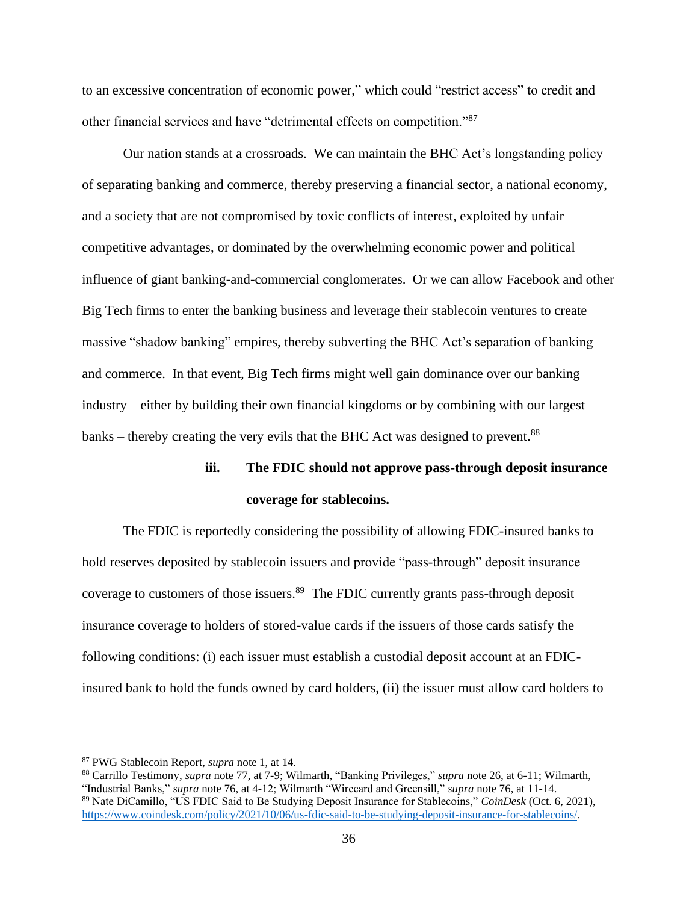to an excessive concentration of economic power," which could "restrict access" to credit and other financial services and have "detrimental effects on competition."<sup>87</sup>

Our nation stands at a crossroads. We can maintain the BHC Act's longstanding policy of separating banking and commerce, thereby preserving a financial sector, a national economy, and a society that are not compromised by toxic conflicts of interest, exploited by unfair competitive advantages, or dominated by the overwhelming economic power and political influence of giant banking-and-commercial conglomerates. Or we can allow Facebook and other Big Tech firms to enter the banking business and leverage their stablecoin ventures to create massive "shadow banking" empires, thereby subverting the BHC Act's separation of banking and commerce. In that event, Big Tech firms might well gain dominance over our banking industry – either by building their own financial kingdoms or by combining with our largest banks – thereby creating the very evils that the BHC Act was designed to prevent.<sup>88</sup>

### **iii. The FDIC should not approve pass-through deposit insurance coverage for stablecoins.**

The FDIC is reportedly considering the possibility of allowing FDIC-insured banks to hold reserves deposited by stablecoin issuers and provide "pass-through" deposit insurance coverage to customers of those issuers.<sup>89</sup> The FDIC currently grants pass-through deposit insurance coverage to holders of stored-value cards if the issuers of those cards satisfy the following conditions: (i) each issuer must establish a custodial deposit account at an FDICinsured bank to hold the funds owned by card holders, (ii) the issuer must allow card holders to

<sup>87</sup> PWG Stablecoin Report, *supra* note 1, at 14.

<sup>88</sup> Carrillo Testimony, *supra* note 77, at 7-9; Wilmarth, "Banking Privileges," *supra* note 26, at 6-11; Wilmarth, "Industrial Banks," *supra* note 76, at 4-12; Wilmarth "Wirecard and Greensill," *supra* note 76, at 11-14. <sup>89</sup> Nate DiCamillo, "US FDIC Said to Be Studying Deposit Insurance for Stablecoins," *CoinDesk* (Oct. 6, 2021), [https://www.coindesk.com/policy/2021/10/06/us-fdic-said-to-be-studying-deposit-insurance-for-stablecoins/.](https://www.coindesk.com/policy/2021/10/06/us-fdic-said-to-be-studying-deposit-insurance-for-stablecoins/)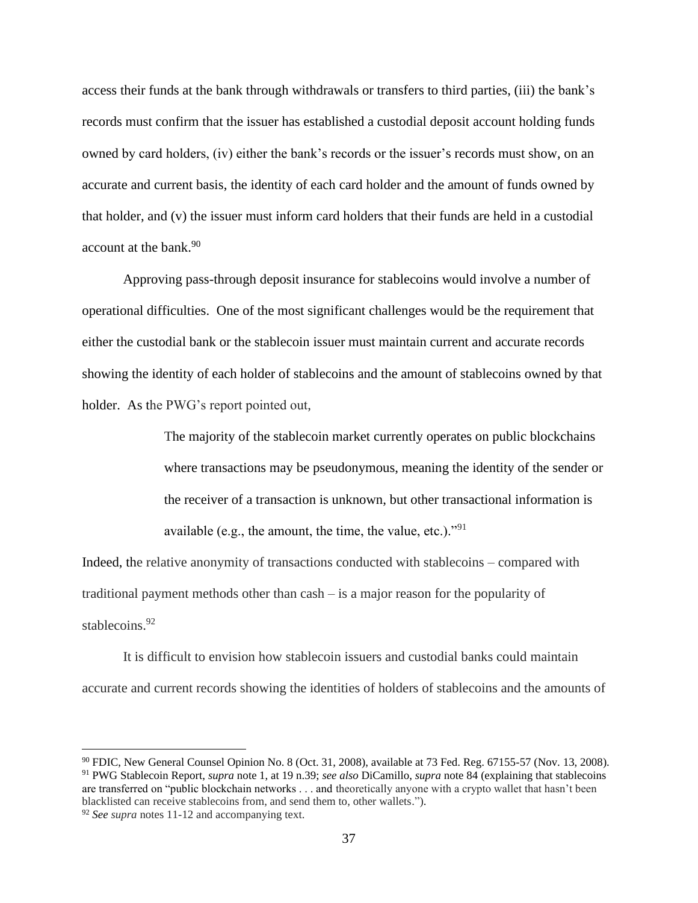access their funds at the bank through withdrawals or transfers to third parties, (iii) the bank's records must confirm that the issuer has established a custodial deposit account holding funds owned by card holders, (iv) either the bank's records or the issuer's records must show, on an accurate and current basis, the identity of each card holder and the amount of funds owned by that holder, and (v) the issuer must inform card holders that their funds are held in a custodial account at the bank.<sup>90</sup>

Approving pass-through deposit insurance for stablecoins would involve a number of operational difficulties. One of the most significant challenges would be the requirement that either the custodial bank or the stablecoin issuer must maintain current and accurate records showing the identity of each holder of stablecoins and the amount of stablecoins owned by that holder. As the PWG's report pointed out,

> The majority of the stablecoin market currently operates on public blockchains where transactions may be pseudonymous, meaning the identity of the sender or the receiver of a transaction is unknown, but other transactional information is available (e.g., the amount, the time, the value, etc.)."<sup>91</sup>

Indeed, the relative anonymity of transactions conducted with stablecoins – compared with traditional payment methods other than cash – is a major reason for the popularity of stablecoins. 92

It is difficult to envision how stablecoin issuers and custodial banks could maintain accurate and current records showing the identities of holders of stablecoins and the amounts of

<sup>90</sup> FDIC, New General Counsel Opinion No. 8 (Oct. 31, 2008), available at 73 Fed. Reg. 67155-57 (Nov. 13, 2008). <sup>91</sup> PWG Stablecoin Report, *supra* note 1, at 19 n.39; *see also* DiCamillo, *supra* note 84 (explaining that stablecoins are transferred on "public blockchain networks . . . and theoretically anyone with a crypto wallet that hasn't been blacklisted can receive stablecoins from, and send them to, other wallets.").

<sup>92</sup> *See supra* notes 11-12 and accompanying text.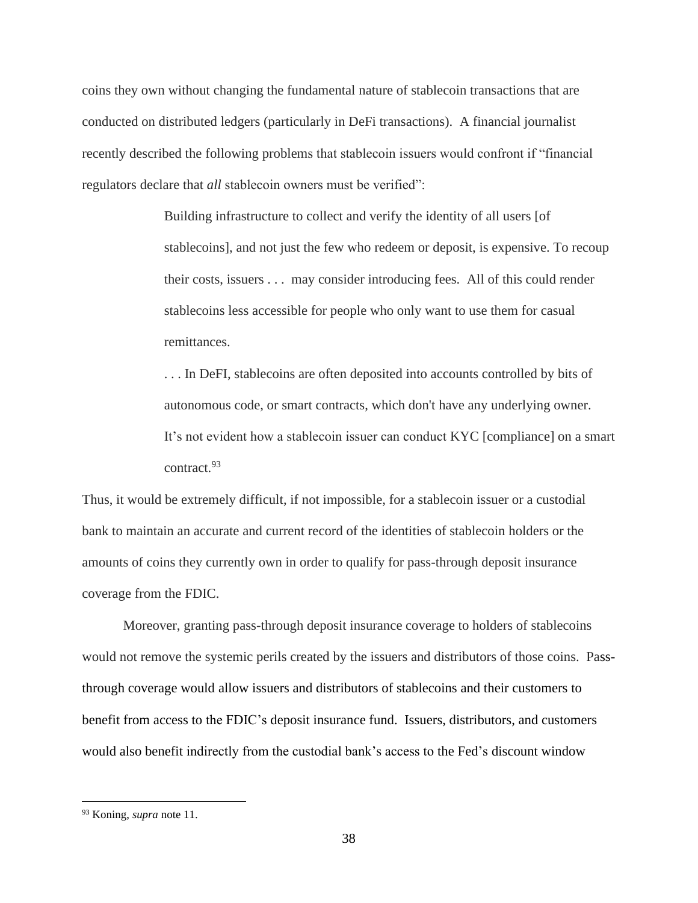coins they own without changing the fundamental nature of stablecoin transactions that are conducted on distributed ledgers (particularly in DeFi transactions). A financial journalist recently described the following problems that stablecoin issuers would confront if "financial regulators declare that *all* stablecoin owners must be verified":

> Building infrastructure to collect and verify the identity of all users [of stablecoins], and not just the few who redeem or deposit, is expensive. To recoup their costs, issuers . . . may consider introducing fees. All of this could render stablecoins less accessible for people who only want to use them for casual remittances.

. . . In DeFI, stablecoins are often deposited into accounts controlled by bits of autonomous code, or smart contracts, which don't have any underlying owner. It's not evident how a stablecoin issuer can conduct KYC [compliance] on a smart contract.<sup>93</sup>

Thus, it would be extremely difficult, if not impossible, for a stablecoin issuer or a custodial bank to maintain an accurate and current record of the identities of stablecoin holders or the amounts of coins they currently own in order to qualify for pass-through deposit insurance coverage from the FDIC.

Moreover, granting pass-through deposit insurance coverage to holders of stablecoins would not remove the systemic perils created by the issuers and distributors of those coins. Passthrough coverage would allow issuers and distributors of stablecoins and their customers to benefit from access to the FDIC's deposit insurance fund. Issuers, distributors, and customers would also benefit indirectly from the custodial bank's access to the Fed's discount window

<sup>93</sup> Koning, *supra* note 11.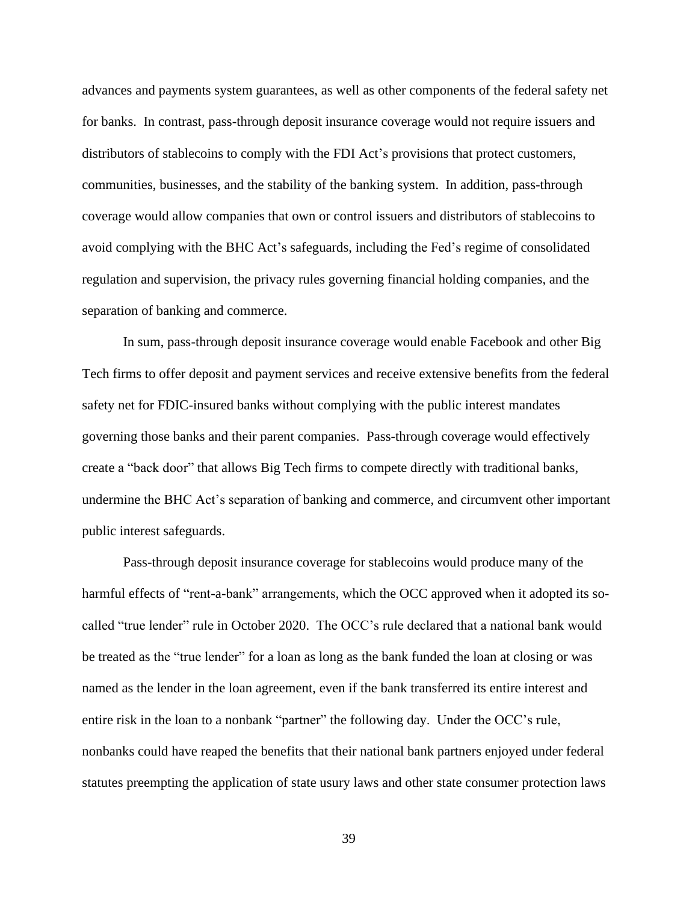advances and payments system guarantees, as well as other components of the federal safety net for banks. In contrast, pass-through deposit insurance coverage would not require issuers and distributors of stablecoins to comply with the FDI Act's provisions that protect customers, communities, businesses, and the stability of the banking system. In addition, pass-through coverage would allow companies that own or control issuers and distributors of stablecoins to avoid complying with the BHC Act's safeguards, including the Fed's regime of consolidated regulation and supervision, the privacy rules governing financial holding companies, and the separation of banking and commerce.

In sum, pass-through deposit insurance coverage would enable Facebook and other Big Tech firms to offer deposit and payment services and receive extensive benefits from the federal safety net for FDIC-insured banks without complying with the public interest mandates governing those banks and their parent companies. Pass-through coverage would effectively create a "back door" that allows Big Tech firms to compete directly with traditional banks, undermine the BHC Act's separation of banking and commerce, and circumvent other important public interest safeguards.

Pass-through deposit insurance coverage for stablecoins would produce many of the harmful effects of "rent-a-bank" arrangements, which the OCC approved when it adopted its socalled "true lender" rule in October 2020. The OCC's rule declared that a national bank would be treated as the "true lender" for a loan as long as the bank funded the loan at closing or was named as the lender in the loan agreement, even if the bank transferred its entire interest and entire risk in the loan to a nonbank "partner" the following day. Under the OCC's rule, nonbanks could have reaped the benefits that their national bank partners enjoyed under federal statutes preempting the application of state usury laws and other state consumer protection laws

39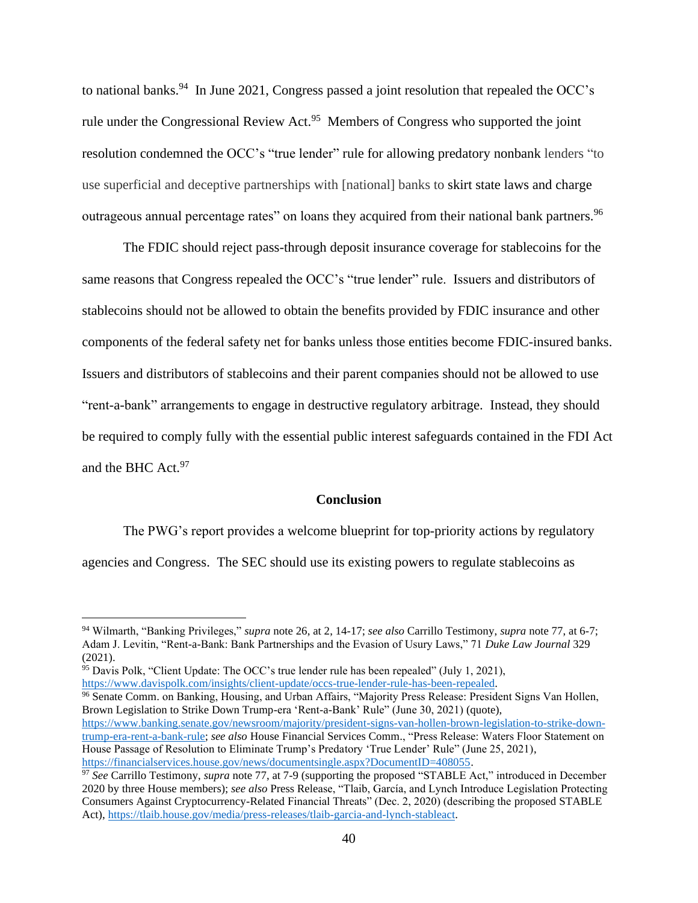to national banks.<sup>94</sup> In June 2021, Congress passed a joint resolution that repealed the OCC's rule under the Congressional Review Act.<sup>95</sup> Members of Congress who supported the joint resolution condemned the OCC's "true lender" rule for allowing predatory nonbank lenders "to use superficial and deceptive partnerships with [national] banks to skirt state laws and charge outrageous annual percentage rates" on loans they acquired from their national bank partners.<sup>96</sup>

The FDIC should reject pass-through deposit insurance coverage for stablecoins for the same reasons that Congress repealed the OCC's "true lender" rule. Issuers and distributors of stablecoins should not be allowed to obtain the benefits provided by FDIC insurance and other components of the federal safety net for banks unless those entities become FDIC-insured banks. Issuers and distributors of stablecoins and their parent companies should not be allowed to use "rent-a-bank" arrangements to engage in destructive regulatory arbitrage. Instead, they should be required to comply fully with the essential public interest safeguards contained in the FDI Act and the BHC Act. 97

### **Conclusion**

The PWG's report provides a welcome blueprint for top-priority actions by regulatory agencies and Congress. The SEC should use its existing powers to regulate stablecoins as

<sup>96</sup> Senate Comm. on Banking, Housing, and Urban Affairs, "Majority Press Release: President Signs Van Hollen, Brown Legislation to Strike Down Trump-era 'Rent-a-Bank' Rule" (June 30, 2021) (quote), [https://www.banking.senate.gov/newsroom/majority/president-signs-van-hollen-brown-legislation-to-strike-down](https://www.banking.senate.gov/newsroom/majority/president-signs-van-hollen-brown-legislation-to-strike-down-trump-era-rent-a-bank-rule)[trump-era-rent-a-bank-rule;](https://www.banking.senate.gov/newsroom/majority/president-signs-van-hollen-brown-legislation-to-strike-down-trump-era-rent-a-bank-rule) *see also* House Financial Services Comm., "Press Release: Waters Floor Statement on

<sup>94</sup> Wilmarth, "Banking Privileges," *supra* note 26, at 2, 14-17; *see also* Carrillo Testimony, *supra* note 77, at 6-7; Adam J. Levitin, "Rent-a-Bank: Bank Partnerships and the Evasion of Usury Laws," 71 *Duke Law Journal* 329 (2021).

<sup>&</sup>lt;sup>95</sup> Davis Polk, "Client Update: The OCC's true lender rule has been repealed" (July 1, 2021), [https://www.davispolk.com/insights/client-update/occs-true-lender-rule-has-been-repealed.](https://www.davispolk.com/insights/client-update/occs-true-lender-rule-has-been-repealed)

House Passage of Resolution to Eliminate Trump's Predatory 'True Lender' Rule" (June 25, 2021), [https://financialservices.house.gov/news/documentsingle.aspx?DocumentID=408055.](https://financialservices.house.gov/news/documentsingle.aspx?DocumentID=408055)

<sup>&</sup>lt;sup>97</sup> See Carrillo Testimony, *supra* note 77, at 7-9 (supporting the proposed "STABLE Act," introduced in December 2020 by three House members); *see also* Press Release, "Tlaib, García, and Lynch Introduce Legislation Protecting Consumers Against Cryptocurrency-Related Financial Threats" (Dec. 2, 2020) (describing the proposed STABLE Act), [https://tlaib.house.gov/media/press-releases/tlaib-garcia-and-lynch-stableact.](https://tlaib.house.gov/media/press-releases/tlaib-garcia-and-lynch-stableact)